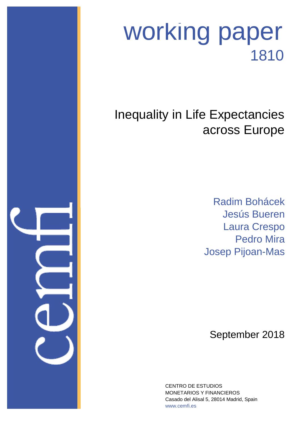

# working paper 1810

## Inequality in Life Expectancies across Europe

Jesús Bueren Laura Crespo Pedro Mira Josep Pijoan-Mas Radim Bohácek

September 2018

Casado del Alisal 5, 28014 Madrid, Spain CENTRO DE ESTUDIOS MONETARIOS Y FINANCIEROS www.cemfi.es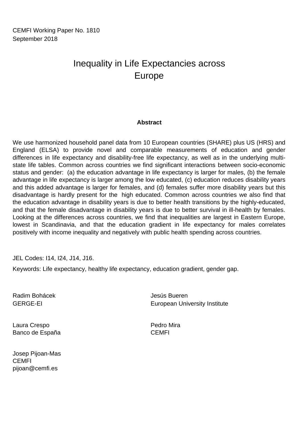CEMFI Working Paper No. 1810 September 2018

### Europe Inequality in Life Expectancies across

#### **Abstract**

We use harmonized household panel data from 10 European countries (SHARE) plus US (HRS) and England (ELSA) to provide novel and comparable measurements of education and gender differences in life expectancy and disability-free life expectancy, as well as in the underlying multistate life tables. Common across countries we find significant interactions between socio-economic status and gender: (a) the education advantage in life expectancy is larger for males, (b) the female advantage in life expectancy is larger among the low educated, (c) education reduces disability years and this added advantage is larger for females, and (d) females suffer more disability years but this disadvantage is hardly present for the high educated. Common across countries we also find that the education advantage in disability years is due to better health transitions by the highly-educated, and that the female disadvantage in disability years is due to better survival in ill-health by females. Looking at the differences across countries, we find that inequalities are largest in Eastern Europe, lowest in Scandinavia, and that the education gradient in life expectancy for males correlates positively with income inequality and negatively with public health spending across countries.

JEL Codes: I14, I24, J14, J16.

Keywords: Life expectancy, healthy life expectancy, education gradient, gender gap.

GERGE-EI Radim Bohácek Jesús Bueren European University Institute

Laura Crespo Banco de España CEMFI

Josep Pijoan-Mas CEMFI pijoan@cemfi.es

Pedro Mira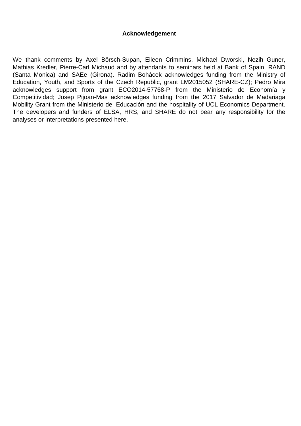#### **Acknowledgement**

We thank comments by Axel Börsch-Supan, Eileen Crimmins, Michael Dworski, Nezih Guner, Mathias Kredler, Pierre-Carl Michaud and by attendants to seminars held at Bank of Spain, RAND (Santa Monica) and SAEe (Girona). Radim Bohácek acknowledges funding from the Ministry of Education, Youth, and Sports of the Czech Republic, grant LM2015052 (SHARE-CZ); Pedro Mira acknowledges support from grant ECO2014-57768-P from the Ministerio de Economía y Competitividad; Josep Pijoan-Mas acknowledges funding from the 2017 Salvador de Madariaga Mobility Grant from the Ministerio de Educación and the hospitality of UCL Economics Department. The developers and funders of ELSA, HRS, and SHARE do not bear any responsibility for the analyses or interpretations presented here.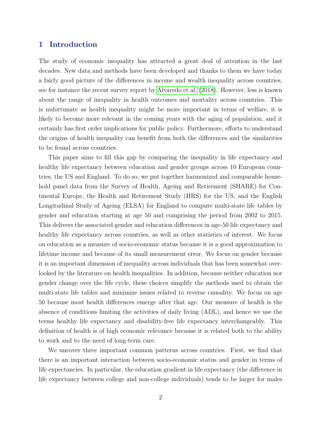#### 1 Introduction

The study of economic inequality has attracted a great deal of attention in the last decades. New data and methods have been developed and thanks to them we have today a fairly good picture of the differences in income and wealth inequality across countries, see for instance the recent survey report by [Alvaredo et al. \(2018\)](#page-46-0). However, less is known about the range of inequality in health outcomes and mortality across countries. This is unfortunate as health inequality might be more important in terms of welfare, it is likely to become more relevant in the coming years with the aging of population, and it certainly has first order implications for public policy. Furthermore, efforts to understand the origins of health inequality can benefit from both the differences and the similarities to be found across countries.

This paper aims to fill this gap by comparing the inequality in life expectancy and healthy life expectancy between education and gender groups across 10 European countries, the US and England. To do so, we put together harmonized and comparable household panel data from the Survey of Health, Ageing and Retirement (SHARE) for Continental Europe, the Health and Retirement Study (HRS) for the US, and the English Longitudinal Study of Ageing (ELSA) for England to compute multi-state life tables by gender and education starting at age 50 and comprising the period from 2002 to 2015. This delivers the associated gender and education differences in age-50 life expectancy and healthy life expectancy across countries, as well as other statistics of interest. We focus on education as a measure of socio-economic status because it is a good approximation to lifetime income and because of its small measurement error. We focus on gender because it is an important dimension of inequality across individuals that has been somewhat overlooked by the literature on health inequalities. In addition, because neither education nor gender change over the life cycle, these choices simplify the methods used to obtain the multi-state life tables and minimize issues related to reverse causality. We focus on age 50 because most health differences emerge after that age. Our measure of health is the absence of conditions limiting the activities of daily living (ADL), and hence we use the terms healthy life expectancy and disability-free life expectancy interchangeably. This definition of health is of high economic relevance because it is related both to the ability to work and to the need of long-term care.

We uncover three important common patterns across countries. First, we find that there is an important interaction between socio-economic status and gender in terms of life expectancies. In particular, the education gradient in life expectancy (the difference in life expectancy between college and non-college individuals) tends to be larger for males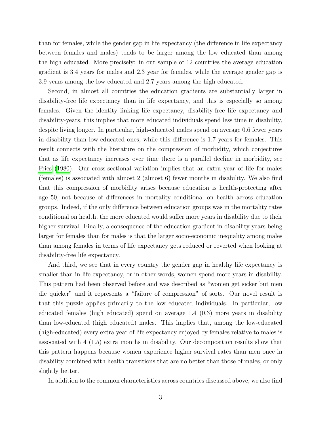than for females, while the gender gap in life expectancy (the difference in life expectancy between females and males) tends to be larger among the low educated than among the high educated. More precisely: in our sample of 12 countries the average education gradient is 3.4 years for males and 2.3 year for females, while the average gender gap is 3.9 years among the low-educated and 2.7 years among the high-educated.

Second, in almost all countries the education gradients are substantially larger in disability-free life expectancy than in life expectancy, and this is especially so among females. Given the identity linking life expectancy, disability-free life expectancy and disability-years, this implies that more educated individuals spend less time in disability, despite living longer. In particular, high-educated males spend on average 0.6 fewer years in disability than low-educated ones, while this difference is 1.7 years for females. This result connects with the literature on the compression of morbidity, which conjectures that as life expectancy increases over time there is a parallel decline in morbidity, see [Fries \(1980\)](#page-48-0). Our cross-sectional variation implies that an extra year of life for males (females) is associated with almost 2 (almost 6) fewer months in disability. We also find that this compression of morbidity arises because education is health-protecting after age 50, not because of differences in mortality conditional on health across education groups. Indeed, if the only difference between education groups was in the mortality rates conditional on health, the more educated would suffer more years in disability due to their higher survival. Finally, a consequence of the education gradient in disability years being larger for females than for males is that the larger socio-economic inequality among males than among females in terms of life expectancy gets reduced or reverted when looking at disability-free life expectancy.

And third, we see that in every country the gender gap in healthy life expectancy is smaller than in life expectancy, or in other words, women spend more years in disability. This pattern had been observed before and was described as "women get sicker but men die quicker" and it represents a "failure of compression" of sorts. Our novel result is that this puzzle applies primarily to the low educated individuals. In particular, low educated females (high educated) spend on average 1.4 (0.3) more years in disability than low-educated (high educated) males. This implies that, among the low-educated (high-educated) every extra year of life expectancy enjoyed by females relative to males is associated with 4 (1.5) extra months in disability. Our decomposition results show that this pattern happens because women experience higher survival rates than men once in disability combined with health transitions that are no better than those of males, or only slightly better.

In addition to the common characteristics across countries discussed above, we also find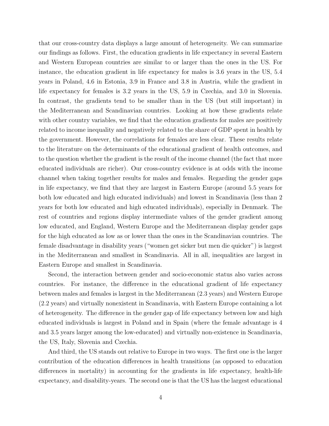that our cross-country data displays a large amount of heterogeneity. We can summarize our findings as follows. First, the education gradients in life expectancy in several Eastern and Western European countries are similar to or larger than the ones in the US. For instance, the education gradient in life expectancy for males is 3.6 years in the US, 5.4 years in Poland, 4.6 in Estonia, 3.9 in France and 3.8 in Austria, while the gradient in life expectancy for females is 3.2 years in the US, 5.9 in Czechia, and 3.0 in Slovenia. In contrast, the gradients tend to be smaller than in the US (but still important) in the Mediterranean and Scandinavian countries. Looking at how these gradients relate with other country variables, we find that the education gradients for males are positively related to income inequality and negatively related to the share of GDP spent in health by the government. However, the correlations for females are less clear. These results relate to the literature on the determinants of the educational gradient of health outcomes, and to the question whether the gradient is the result of the income channel (the fact that more educated individuals are richer). Our cross-country evidence is at odds with the income channel when taking together results for males and females. Regarding the gender gaps in life expectancy, we find that they are largest in Eastern Europe (around 5.5 years for both low educated and high educated individuals) and lowest in Scandinavia (less than 2 years for both low educated and high educated individuals), especially in Denmark. The rest of countries and regions display intermediate values of the gender gradient among low educated, and England, Western Europe and the Mediterranean display gender gaps for the high educated as low as or lower than the ones in the Scandinavian countries. The female disadvantage in disability years ("women get sicker but men die quicker") is largest in the Mediterranean and smallest in Scandinavia. All in all, inequalities are largest in Eastern Europe and smallest in Scandinavia.

Second, the interaction between gender and socio-economic status also varies across countries. For instance, the difference in the educational gradient of life expectancy between males and females is largest in the Mediterranean (2.3 years) and Western Europe (2.2 years) and virtually nonexistent in Scandinavia, with Eastern Europe containing a lot of heterogeneity. The difference in the gender gap of life expectancy between low and high educated individuals is largest in Poland and in Spain (where the female advantage is 4 and 3.5 years larger among the low-educated) and virtually non-existence in Scandinavia, the US, Italy, Slovenia and Czechia.

And third, the US stands out relative to Europe in two ways. The first one is the larger contribution of the education differences in health transitions (as opposed to education differences in mortality) in accounting for the gradients in life expectancy, health-life expectancy, and disability-years. The second one is that the US has the largest educational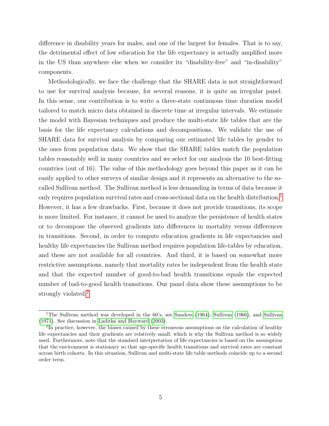difference in disability years for males, and one of the largest for females. That is to say, the detrimental effect of low education for the life expectancy is actually amplified more in the US than anywhere else when we consider its "disability-free" and "in-disability" components.

Methodologically, we face the challenge that the SHARE data is not straightforward to use for survival analysis because, for several reasons, it is quite an irregular panel. In this sense, our contribution is to write a three-state continuous time duration model tailored to match micro data obtained in discrete time at irregular intervals. We estimate the model with Bayesian techniques and produce the multi-state life tables that are the basis for the life expectancy calculations and decompositions. We validate the use of SHARE data for survival analysis by comparing our estimated life tables by gender to the ones from population data. We show that the SHARE tables match the population tables reasonably well in many countries and we select for our analysis the 10 best-fitting countries (out of 16). The value of this methodology goes beyond this paper as it can be easily applied to other surveys of similar design and it represents an alternative to the socalled Sullivan method. The Sullivan method is less demanding in terms of data because it only requires population survival rates and cross-sectional data on the health distribution.<sup>[1](#page-6-0)</sup> However, it has a few drawbacks. First, because it does not provide transitions, its scope is more limited. For instance, it cannot be used to analyze the persistence of health states or to decompose the observed gradients into differences in mortality versus differences in transitions. Second, in order to compute education gradients in life expectancies and healthy life expectancies the Sullivan method requires population life-tables by education, and these are not available for all countries. And third, it is based on somewhat more restrictive assumptions, namely that mortality rates be independent from the health state and that the expected number of good-to-bad health transitions equals the expected number of bad-to-good health transitions. Our panel data show these assumptions to be strongly violated.<sup>[2](#page-6-1)</sup>

<span id="page-6-0"></span><sup>&</sup>lt;sup>1</sup>The Sullivan method was developed in the 60's, see [Sanders](#page-49-0) [\(1964\)](#page-49-0), [Sullivan](#page-50-1) [\(1966\)](#page-50-0), and Sullivan [\(1971\)](#page-50-1). See discussion in [Laditka and Hayward](#page-48-1) [\(2003\)](#page-48-1).

<span id="page-6-1"></span><sup>&</sup>lt;sup>2</sup>In practice, however, the biases caused by these erroneous assumptions on the calculation of healthy life expectancies and their gradients are relatively small, which is why the Sullivan method is so widely used. Furthermore, note that the standard interpretation of life expectancies is based on the assumption that the environment is stationary so that age-specific health transitions and survival rates are constant across birth cohorts. In this situation, Sullivan and multi-state life table methods coincide up to a second order term.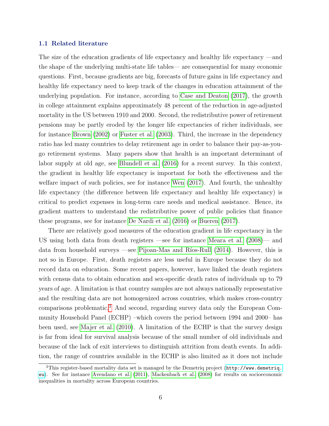#### 1.1 Related literature

The size of the education gradients of life expectancy and healthy life expectancy —and the shape of the underlying multi-state life tables— are consequential for many economic questions. First, because gradients are big, forecasts of future gains in life expectancy and healthy life expectancy need to keep track of the changes in education attainment of the underlying population. For instance, according to [Case and Deaton \(2017\)](#page-47-0), the growth in college attainment explains approximately 48 percent of the reduction in age-adjusted mortality in the US between 1910 and 2000. Second, the redistributive power of retirement pensions may be partly eroded by the longer life expectancies of richer individuals, see for instance [Brown \(2002\)](#page-46-1) or [Fuster et al. \(2003\)](#page-48-2). Third, the increase in the dependency ratio has led many countries to delay retirement age in order to balance their pay-as-yougo retirement systems. Many papers show that health is an important determinant of labor supply at old age, see [Blundell et al. \(2016\)](#page-46-2) for a recent survey. In this context, the gradient in healthy life expectancy is important for both the effectiveness and the welfare impact of such policies, see for instance [Wen \(2017\)](#page-50-2). And fourth, the unhealthy life expectancy (the difference between life expectancy and healthy life expectancy) is critical to predict expenses in long-term care needs and medical assistance. Hence, its gradient matters to understand the redistributive power of public policies that finance these programs, see for instance [De Nardi et al. \(2016\)](#page-47-1) or [Bueren \(2017\)](#page-46-3).

There are relatively good measures of the education gradient in life expectancy in the US using both data from death registers —see for instance [Meara et al. \(2008\)](#page-49-1)— and data from household surveys —see Pijoan-Mas and Ríos-Rull  $(2014)$ . However, this is not so in Europe. First, death registers are less useful in Europe because they do not record data on education. Some recent papers, however, have linked the death registers with census data to obtain education and sex-specific death rates of individuals up to 79 years of age. A limitation is that country samples are not always nationally representative and the resulting data are not homogenized across countries, which makes cross-country comparisons problematic.[3](#page-7-0) And second, regarding survey data only the European Community Household Panel (ECHP) –which covers the period between 1994 and 2000– has been used, see [Majer et al. \(2010\)](#page-49-3). A limitation of the ECHP is that the survey design is far from ideal for survival analysis because of the small number of old individuals and because of the lack of exit interviews to distinguish attrition from death events. In addition, the range of countries available in the ECHP is also limited as it does not include

<span id="page-7-0"></span><sup>&</sup>lt;sup>3</sup>This register-based mortality data set is managed by the Demetriq project ([http://www.demetriq.](http://www.demetriq.eu) [eu](http://www.demetriq.eu)). See for instance [Avendano et al.](#page-46-4) [\(2011\)](#page-46-4), [Mackenbach et al.](#page-49-4) [\(2008\)](#page-49-4) for results on socioeconomic inequalities in mortality across European countries.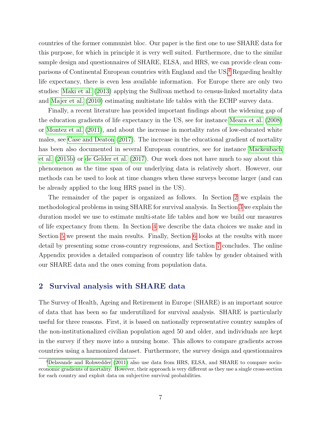countries of the former communist bloc. Our paper is the first one to use SHARE data for this purpose, for which in principle it is very well suited. Furthermore, due to the similar sample design and questionnaires of SHARE, ELSA, and HRS, we can provide clean comparisons of Continental European countries with England and the US.[4](#page-8-0) Regarding healthy life expectancy, there is even less available information. For Europe there are only two studies: [Maki et al. \(2013\)](#page-49-5) applying the Sullivan method to census-linked mortality data and [Majer et al. \(2010\)](#page-49-3) estimating multistate life tables with the ECHP survey data.

Finally, a recent literature has provided important findings about the widening gap of the education gradients of life expectancy in the US, see for instance [Meara et al. \(2008\)](#page-49-1) or [Montez et al. \(2011\)](#page-49-6), and about the increase in mortality rates of low-educated white males, see [Case and Deaton \(2017\)](#page-47-0). The increase in the educational gradient of mortality has been also documented in several European countries, see for instance [Mackenbach](#page-48-3) [et al. \(2015b\)](#page-48-3) or [de Gelder et al. \(2017\)](#page-47-2). Our work does not have much to say about this phenomenon as the time span of our underlying data is relatively short. However, our methods can be used to look at time changes when these surveys become larger (and can be already applied to the long HRS panel in the US).

The remainder of the paper is organized as follows. In Section [2](#page-8-1) we explain the methodological problems in using SHARE for survival analysis. In Section [3](#page-10-0) we explain the duration model we use to estimate multi-state life tables and how we build our measures of life expectancy from them. In Section [4](#page-15-0) we describe the data choices we make and in Section [5](#page-17-0) we present the main results. Finally, Section [6](#page-29-0) looks at the results with more detail by presenting some cross-country regressions, and Section [7](#page-37-0) concludes. The online Appendix provides a detailed comparison of country life tables by gender obtained with our SHARE data and the ones coming from population data.

#### <span id="page-8-1"></span>2 Survival analysis with SHARE data

The Survey of Health, Ageing and Retirement in Europe (SHARE) is an important source of data that has been so far underutilized for survival analysis. SHARE is particularly useful for three reasons. First, it is based on nationally representative country samples of the non-institutionalized civilian population aged 50 and older, and individuals are kept in the survey if they move into a nursing home. This allows to compare gradients across countries using a harmonized dataset. Furthermore, the survey design and questionnaires

<span id="page-8-0"></span><sup>4</sup>[Delavande and Rohwedder](#page-47-3) [\(2011\)](#page-47-3) also use data from HRS, ELSA, and SHARE to compare socioeconomic gradients of mortality. However, their approach is very different as they use a single cross-section for each country and exploit data on subjective survival probabilities.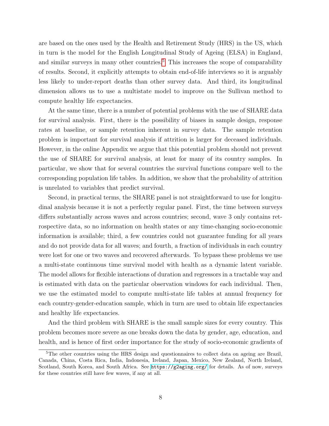are based on the ones used by the Health and Retirement Study (HRS) in the US, which in turn is the model for the English Longitudinal Study of Ageing (ELSA) in England, and similar surveys in many other countries.<sup>[5](#page-9-0)</sup> This increases the scope of comparability of results. Second, it explicitly attempts to obtain end-of-life interviews so it is arguably less likely to under-report deaths than other survey data. And third, its longitudinal dimension allows us to use a multistate model to improve on the Sullivan method to compute healthy life expectancies.

At the same time, there is a number of potential problems with the use of SHARE data for survival analysis. First, there is the possibility of biases in sample design, response rates at baseline, or sample retention inherent in survey data. The sample retention problem is important for survival analysis if attrition is larger for deceased individuals. However, in the online Appendix we argue that this potential problem should not prevent the use of SHARE for survival analysis, at least for many of its country samples. In particular, we show that for several countries the survival functions compare well to the corresponding population life tables. In addition, we show that the probability of attrition is unrelated to variables that predict survival.

Second, in practical terms, the SHARE panel is not straightforward to use for longitudinal analysis because it is not a perfectly regular panel. First, the time between surveys differs substantially across waves and across countries; second, wave 3 only contains retrospective data, so no information on health states or any time-changing socio-economic information is available; third, a few countries could not guarantee funding for all years and do not provide data for all waves; and fourth, a fraction of individuals in each country were lost for one or two waves and recovered afterwards. To bypass these problems we use a multi-state continuous time survival model with health as a dynamic latent variable. The model allows for flexible interactions of duration and regressors in a tractable way and is estimated with data on the particular observation windows for each individual. Then, we use the estimated model to compute multi-state life tables at annual frequency for each country-gender-education sample, which in turn are used to obtain life expectancies and healthy life expectancies.

And the third problem with SHARE is the small sample sizes for every country. This problem becomes more severe as one breaks down the data by gender, age, education, and health, and is hence of first order importance for the study of socio-economic gradients of

<span id="page-9-0"></span><sup>&</sup>lt;sup>5</sup>The other countries using the HRS design and questionnaires to collect data on ageing are Brazil, Canada, China, Costa Rica, India, Indonesia, Ireland, Japan, Mexico, New Zealand, North Ireland, Scotland, South Korea, and South Africa. See <https://g2aging.org/> for details. As of now, surveys for these countries still have few waves, if any at all.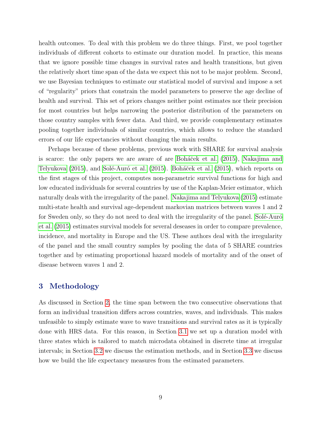health outcomes. To deal with this problem we do three things. First, we pool together individuals of different cohorts to estimate our duration model. In practice, this means that we ignore possible time changes in survival rates and health transitions, but given the relatively short time span of the data we expect this not to be major problem. Second, we use Bayesian techniques to estimate our statistical model of survival and impose a set of "regularity" priors that constrain the model parameters to preserve the age decline of health and survival. This set of priors changes neither point estimates nor their precision for most countries but helps narrowing the posterior distribution of the parameters on those country samples with fewer data. And third, we provide complementary estimates pooling together individuals of similar countries, which allows to reduce the standard errors of our life expectancies without changing the main results.

Perhaps because of these problems, previous work with SHARE for survival analysis is scarce: the only papers we are aware of are Boháček et al. (2015), [Nakajima and](#page-49-7) [Telyukova \(2015\)](#page-49-7), and Solé-Auró et al. (2015). Boháček et al. (2015), which reports on the first stages of this project, computes non-parametric survival functions for high and low educated individuals for several countries by use of the Kaplan-Meier estimator, which naturally deals with the irregularity of the panel. [Nakajima and Telyukova \(2015\)](#page-49-7) estimate multi-state health and survival age-dependent markovian matrices between waves 1 and 2 for Sweden only, so they do not need to deal with the irregularity of the panel. Sole-Auró [et al. \(2015\)](#page-49-8) estimates survival models for several deseases in order to compare prevalence, incidence, and mortality in Europe and the US. These authors deal with the irregularity of the panel and the small country samples by pooling the data of 5 SHARE countries together and by estimating proportional hazard models of mortality and of the onset of disease between waves 1 and 2.

#### <span id="page-10-0"></span>3 Methodology

<span id="page-10-1"></span>As discussed in Section [2,](#page-8-1) the time span between the two consecutive observations that form an individual transition differs across countries, waves, and individuals. This makes unfeasible to simply estimate wave to wave transitions and survival rates as it is typically done with HRS data. For this reason, in Section [3.1](#page-10-1) we set up a duration model with three states which is tailored to match microdata obtained in discrete time at irregular intervals; in Section [3.2](#page-13-0) we discuss the estimation methods, and in Section [3.3](#page-14-0) we discuss how we build the life expectancy measures from the estimated parameters.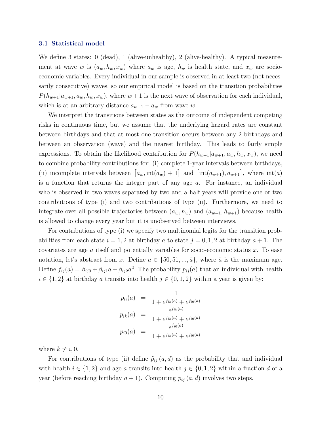#### 3.1 Statistical model

We define 3 states: 0 (dead), 1 (alive-unhealthy), 2 (alive-healthy). A typical measurement at wave w is  $(a_w, h_w, x_w)$  where  $a_w$  is age,  $h_w$  is health state, and  $x_w$  are socioeconomic variables. Every individual in our sample is observed in at least two (not necessarily consecutive) waves, so our empirical model is based on the transition probabilities  $P(h_{w+1}|a_{w+1}, a_w, h_w, x_w)$ , where  $w+1$  is the next wave of observation for each individual, which is at an arbitrary distance  $a_{w+1} - a_w$  from wave w.

We interpret the transitions between states as the outcome of independent competing risks in continuous time, but we assume that the underlying hazard rates are constant between birthdays and that at most one transition occurs between any 2 birthdays and between an observation (wave) and the nearest birthday. This leads to fairly simple expressions. To obtain the likelihood contribution for  $P(h_{w+1}|a_{w+1}, a_w, h_w, x_w)$ , we need to combine probability contributions for: (i) complete 1-year intervals between birthdays, (ii) incomplete intervals between  $[a_w, int(a_w) + 1]$  and  $[int(a_{w+1}), a_{w+1}]$ , where  $int(a)$ is a function that returns the integer part of any age  $a$ . For instance, an individual who is observed in two waves separated by two and a half years will provide one or two contributions of type (i) and two contributions of type (ii). Furthermore, we need to integrate over all possible trajectories between  $(a_w, h_w)$  and  $(a_{w+1}, h_{w+1})$  because health is allowed to change every year but it is unobserved between interviews.

For contributions of type (i) we specify two multinomial logits for the transition probabilities from each state  $i = 1, 2$  at birthday a to state  $j = 0, 1, 2$  at birthday  $a + 1$ . The covariates are age  $\alpha$  itself and potentially variables for socio-economic status  $x$ . To ease notation, let's abstract from x. Define  $a \in \{50, 51, ..., \bar{a}\}$ , where  $\bar{a}$  is the maximum age. Define  $f_{ij}(a) = \beta_{ij0} + \beta_{ij1}a + \beta_{ij2}a^2$ . The probability  $p_{ij}(a)$  that an individual with health  $i \in \{1,2\}$  at birthday a transits into health  $j \in \{0,1,2\}$  within a year is given by:

$$
p_{ii}(a) = \frac{1}{1 + e^{f_{ik}(a)} + e^{f_{i0}(a)}}
$$
  
\n
$$
p_{ik}(a) = \frac{e^{f_{ik}(a)}}{1 + e^{f_{ik}(a)} + e^{f_{i0}(a)}}
$$
  
\n
$$
p_{i0}(a) = \frac{e^{f_{i0}(a)}}{1 + e^{f_{ik}(a)} + e^{f_{i0}(a)}}
$$

where  $k \neq i, 0$ .

For contributions of type (ii) define  $\tilde{p}_{ij}$  (a, d) as the probability that and individual with health  $i \in \{1,2\}$  and age a transits into health  $j \in \{0,1,2\}$  within a fraction d of a year (before reaching birthday  $a + 1$ ). Computing  $\tilde{p}_{ij} (a, d)$  involves two steps.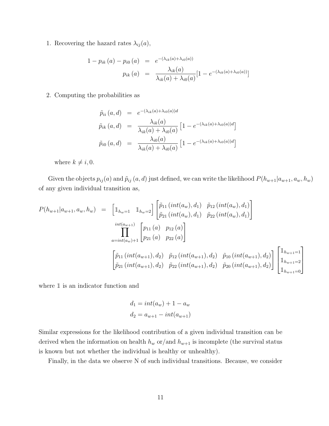1. Recovering the hazard rates  $\lambda_{ij}(a)$ ,

$$
1 - p_{ik}(a) - p_{i0}(a) = e^{-(\lambda_{ik}(a) + \lambda_{i0}(a))}
$$

$$
p_{ik}(a) = \frac{\lambda_{ik}(a)}{\lambda_{ik}(a) + \lambda_{i0}(a)} [1 - e^{-(\lambda_{ik}(a) + \lambda_{i0}(a))}]
$$

2. Computing the probabilities as

$$
\tilde{p}_{ii}(a,d) = e^{-(\lambda_{ik}(a) + \lambda_{i0}(a))d}
$$
\n
$$
\tilde{p}_{ik}(a,d) = \frac{\lambda_{ik}(a)}{\lambda_{ik}(a) + \lambda_{i0}(a)} \left[1 - e^{-(\lambda_{ik}(a) + \lambda_{i0}(a))d}\right]
$$
\n
$$
\tilde{p}_{i0}(a,d) = \frac{\lambda_{i0}(a)}{\lambda_{ik}(a) + \lambda_{i0}(a)} \left[1 - e^{-(\lambda_{ik}(a) + \lambda_{i0}(a))d}\right]
$$

where  $k \neq i, 0$ .

Given the objects  $p_{ij}(a)$  and  $\tilde{p}_{ij}(a, d)$  just defined, we can write the likelihood  $P(h_{w+1}|a_{w+1}, a_w, h_w)$ of any given individual transition as,

$$
P(h_{w+1}|a_{w+1}, a_w, h_w) = \begin{bmatrix} \mathbb{I}_{h_w=1} & \mathbb{I}_{h_w=2} \end{bmatrix} \begin{bmatrix} \tilde{p}_{11} (int(a_w), d_1) & \tilde{p}_{12} (int(a_w), d_1) \\ \tilde{p}_{21} (int(a_w), d_1) & \tilde{p}_{22} (int(a_w), d_1) \end{bmatrix}
$$
  

$$
\prod_{a=int(a_w)+1}^{int(a_w)+1} \begin{bmatrix} p_{11} (a) & p_{12} (a) \\ p_{21} (a) & p_{22} (a) \end{bmatrix}
$$
  

$$
\begin{bmatrix} \tilde{p}_{11} (int(a_{w+1}), d_2) & \tilde{p}_{12} (int(a_{w+1}), d_2) & \tilde{p}_{10} (int(a_{w+1}), d_2) \end{bmatrix} \begin{bmatrix} \mathbb{I}_{h_{w+1}=1} \\ \mathbb{I}_{h_{w+1}=2} \\ \mathbb{I}_{h_{w+1}=0} \end{bmatrix}
$$

where  $\mathbbm{1}$  is an indicator function and

$$
d_1 = int(a_w) + 1 - a_w
$$
  

$$
d_2 = a_{w+1} - int(a_{w+1})
$$

Similar expressions for the likelihood contribution of a given individual transition can be derived when the information on health  $h_w$  or/and  $h_{w+1}$  is incomplete (the survival status is known but not whether the individual is healthy or unhealthy).

Finally, in the data we observe N of such individual transitions. Because, we consider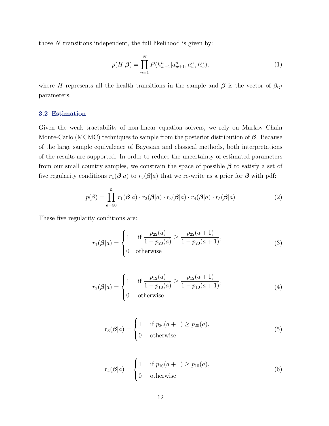those  $N$  transitions independent, the full likelihood is given by:

$$
p(H|\boldsymbol{\beta}) = \prod_{n=1}^{N} P(h_{w+1}^n | a_{w+1}^n, a_w^n, h_w^n),
$$
\n(1)

where H represents all the health transitions in the sample and  $\beta$  is the vector of  $\beta_{ijl}$ parameters.

#### <span id="page-13-0"></span>3.2 Estimation

Given the weak tractability of non-linear equation solvers, we rely on Markov Chain Monte-Carlo (MCMC) techniques to sample from the posterior distribution of  $\beta$ . Because of the large sample equivalence of Bayesian and classical methods, both interpretations of the results are supported. In order to reduce the uncertainty of estimated parameters from our small country samples, we constrain the space of possible  $\beta$  to satisfy a set of five regularity conditions  $r_1(\boldsymbol{\beta}|a)$  to  $r_5(\boldsymbol{\beta}|a)$  that we re-write as a prior for  $\boldsymbol{\beta}$  with pdf:

$$
p(\beta) = \prod_{a=50}^{\bar{a}} r_1(\beta|a) \cdot r_2(\beta|a) \cdot r_3(\beta|a) \cdot r_4(\beta|a) \cdot r_5(\beta|a)
$$
 (2)

These five regularity conditions are:

<span id="page-13-1"></span>
$$
r_1(\boldsymbol{\beta}|a) = \begin{cases} 1 & \text{if } \frac{p_{22}(a)}{1 - p_{20}(a)} \ge \frac{p_{22}(a+1)}{1 - p_{20}(a+1)}, \\ 0 & \text{otherwise} \end{cases}
$$
(3)

$$
r_2(\boldsymbol{\beta}|a) = \begin{cases} 1 & \text{if } \frac{p_{12}(a)}{1 - p_{10}(a)} \ge \frac{p_{12}(a+1)}{1 - p_{10}(a+1)}, \\ 0 & \text{otherwise} \end{cases}
$$
(4)

<span id="page-13-3"></span><span id="page-13-2"></span>
$$
r_3(\boldsymbol{\beta}|a) = \begin{cases} 1 & \text{if } p_{20}(a+1) \ge p_{20}(a), \\ 0 & \text{otherwise} \end{cases} \tag{5}
$$

<span id="page-13-4"></span>
$$
r_4(\boldsymbol{\beta}|a) = \begin{cases} 1 & \text{if } p_{10}(a+1) \ge p_{10}(a), \\ 0 & \text{otherwise} \end{cases} \tag{6}
$$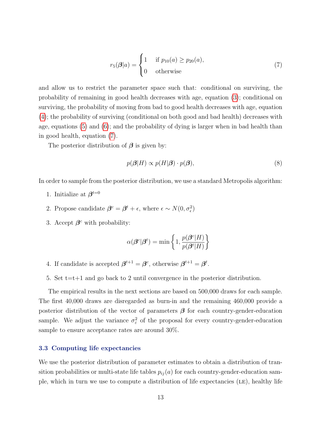<span id="page-14-1"></span>
$$
r_5(\boldsymbol{\beta}|a) = \begin{cases} 1 & \text{if } p_{10}(a) \ge p_{20}(a), \\ 0 & \text{otherwise} \end{cases}
$$
 (7)

and allow us to restrict the parameter space such that: conditional on surviving, the probability of remaining in good health decreases with age, equation [\(3\)](#page-13-1); conditional on surviving, the probability of moving from bad to good health decreases with age, equation [\(4\)](#page-13-2); the probability of surviving (conditional on both good and bad health) decreases with age, equations [\(5\)](#page-13-3) and [\(6\)](#page-13-4); and the probability of dying is larger when in bad health than in good health, equation [\(7\)](#page-14-1).

The posterior distribution of  $\beta$  is given by:

$$
p(\boldsymbol{\beta}|H) \propto p(H|\boldsymbol{\beta}) \cdot p(\boldsymbol{\beta}),\tag{8}
$$

In order to sample from the posterior distribution, we use a standard Metropolis algorithm:

- 1. Initialize at  $\beta^{t=0}$
- 2. Propose candidate  $\beta^c = \beta^t + \epsilon$ , where  $\epsilon \sim N(0, \sigma_{\epsilon}^2)$
- 3. Accept  $\beta^c$  with probability:

$$
\alpha(\boldsymbol{\beta}^c|\boldsymbol{\beta}^t) = \min\left\{1, \frac{p(\boldsymbol{\beta}^c|H)}{p(\boldsymbol{\beta}^t|H)}\right\}
$$

- 4. If candidate is accepted  $\beta^{t+1} = \beta^c$ , otherwise  $\beta^{t+1} = \beta^t$ .
- 5. Set  $t=t+1$  and go back to 2 until convergence in the posterior distribution.

The empirical results in the next sections are based on 500,000 draws for each sample. The first 40,000 draws are disregarded as burn-in and the remaining 460,000 provide a posterior distribution of the vector of parameters  $\beta$  for each country-gender-education sample. We adjust the variance  $\sigma_{\varepsilon}^2$  of the proposal for every country-gender-education sample to ensure acceptance rates are around 30%.

#### <span id="page-14-0"></span>3.3 Computing life expectancies

We use the posterior distribution of parameter estimates to obtain a distribution of transition probabilities or multi-state life tables  $p_{ij}(a)$  for each country-gender-education sample, which in turn we use to compute a distribution of life expectancies  $(LE)$ , healthy life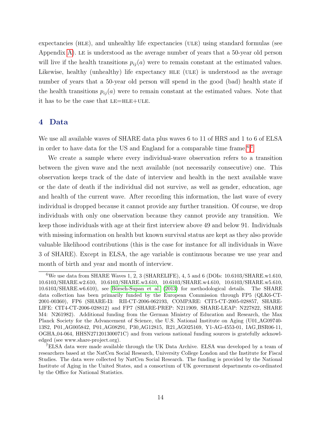expectancies (HLE), and unhealthy life expectancies (ULE) using standard formulas (see Appendix [A\)](#page-39-0). le is understood as the average number of years that a 50-year old person will live if the health transitions  $p_{ij}(a)$  were to remain constant at the estimated values. Likewise, healthy (unhealthy) life expectancy HLE (ULE) is understood as the average number of years that a 50-year old person will spend in the good (bad) health state if the health transitions  $p_{ij}(a)$  were to remain constant at the estimated values. Note that it has to be the case that  $LE=HLE+ULE$ .

#### <span id="page-15-0"></span>4 Data

We use all available waves of SHARE data plus waves 6 to 11 of HRS and 1 to 6 of ELSA in order to have data for the US and England for a comparable time frame.<sup>[6](#page-15-1),[7](#page-15-2)</sup>

We create a sample where every individual-wave observation refers to a transition between the given wave and the next available (not necessarily consecutive) one. This observation keeps track of the date of interview and health in the next available wave or the date of death if the individual did not survive, as well as gender, education, age and health of the current wave. After recording this information, the last wave of every individual is dropped because it cannot provide any further transition. Of course, we drop individuals with only one observation because they cannot provide any transition. We keep those individuals with age at their first interview above 49 and below 91. Individuals with missing information on health but known survival status are kept as they also provide valuable likelihood contributions (this is the case for instance for all individuals in Wave 3 of SHARE). Except in ELSA, the age variable is continuous because we use year and month of birth and year and month of interview.

<span id="page-15-1"></span><sup>&</sup>lt;sup>6</sup>We use data from SHARE Waves 1, 2, 3 (SHARELIFE), 4, 5 and 6 (DOIs:  $10.6103/SHARE.w1.610$ , 10.6103/SHARE.w2.610, 10.6103/SHARE.w3.610, 10.6103/SHARE.w4.610, 10.6103/SHARE.w5.610, 10.6103/SHARE.w6.610), see Börsch-Supan et al. [\(2013\)](#page-46-6) for methodological details. The SHARE data collection has been primarily funded by the European Commission through FP5 (QLK6-CT-2001-00360), FP6 (SHARE-I3: RII-CT-2006-062193, COMPARE: CIT5-CT-2005-028857, SHARE-LIFE: CIT4-CT-2006-028812) and FP7 (SHARE-PREP: N211909, SHARE-LEAP: N227822, SHARE M4: N261982). Additional funding from the German Ministry of Education and Research, the Max Planck Society for the Advancement of Science, the U.S. National Institute on Aging (U01 AG09740- 13S2, P01 AG005842, P01 AG08291, P30 AG12815, R21 AG025169, Y1-AG-4553-01, IAG BSR06-11, OGHA 04-064, HHSN271201300071C) and from various national funding sources is gratefully acknowledged (see www.share-project.org).

<span id="page-15-2"></span><sup>7</sup>ELSA data were made available through the UK Data Archive. ELSA was developed by a team of researchers based at the NatCen Social Research, University College London and the Institute for Fiscal Studies. The data were collected by NatCen Social Research. The funding is provided by the National Institute of Aging in the United States, and a consortium of UK government departments co-ordinated by the Office for National Statistics.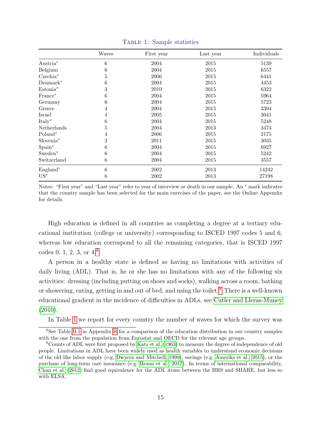<span id="page-16-2"></span>

|                       | Waves | First year | Last year | Individuals |
|-----------------------|-------|------------|-----------|-------------|
| Austria <sup>*</sup>  | 6     | 2004       | 2015      | 5139        |
| Belgium               | 6     | 2004       | 2015      | 6557        |
| $Czechia*$            | 5     | 2006       | 2015      | 6441        |
| $Demmark^*$           | 6     | 2004       | 2015      | 4453        |
| Estonia <sup>*</sup>  | 3     | 2010       | 2015      | 6322        |
| France*               | 6     | 2004       | 2015      | 5964        |
| Germany               | 6     | 2004       | 2015      | 5723        |
| Greece                | 4     | 2004       | 2015      | 3394        |
| Israel                | 4     | 2005       | 2015      | 3041        |
| Italy*                | 6     | 2004       | 2015      | 5248        |
| Netherlands           | 5     | 2004       | 2013      | 3474        |
| Poland*               | 4     | 2006       | 2015      | 2175        |
| Slovenia <sup>*</sup> | 3     | 2011       | 2015      | 3035        |
| $Span^*$              | 6     | 2004       | 2015      | 6927        |
| Sweden <sup>*</sup>   | 6     | 2004       | 2015      | 5242        |
| Switzerland           | 6     | 2004       | 2015      | 3557        |
| ${\rm England}^*$     | 6     | 2002       | 2013      | 14242       |
| $US^*$                | 6     | 2002       | 2013      | 27198       |

Table 1: Sample statistics

Notes: "First year" and "Last year" refer to year of interview or death in our sample. An <sup>∗</sup> mark indicates that the country sample has been selected for the main exercises of the paper, see the Online Appendix for details.

High education is defined in all countries as completing a degree at a tertiary educational institution (college or university) corresponding to ISCED 1997 codes 5 and 6, whereas low education correspond to all the remaining categories, that is ISCED 1997 codes 0, 1, 2, 3, or 4.[8](#page-16-0)

A person in a healthy state is defined as having no limitations with activities of daily living (ADL). That is, he or she has no limitations with any of the following six activities: dressing (including putting on shoes and socks), walking across a room, bathing or showering, eating, getting in and out of bed, and using the toilet.<sup>[9](#page-16-1)</sup> There is a well-known educational gradient in the incidence of difficulties in ADLs, see [Cutler and Lleras-Muney](#page-47-4) [\(2010\)](#page-47-4).

<span id="page-16-0"></span>In Table [1](#page-16-2) we report for every country the number of waves for which the survey was

<sup>8</sup>See Table [B.1](#page-40-0) in Appendix [B](#page-39-1) for a comparison of the education distribution in our country samples with the one from the population from Eurostat and OECD for the relevant age groups.

<span id="page-16-1"></span><sup>9</sup>Counts of ADL were first proposed by [Katz et al.](#page-48-4) [\(1963\)](#page-48-4) to measure the degree of independence of old people. Limitations in ADL have been widely used as health variables to understand economic decisions of the old like labor supply (e.g. [Dwyera and Mitchell, 1999\)](#page-47-5), savings (e.g. [Ameriks et al., 2015\)](#page-46-7), or the purchase of long-term care insurance (e.g. [Braun et al., 2017\)](#page-46-8). In terms of international comparability, [Chan et al.](#page-47-6) [\(2012\)](#page-47-6) find good equivalence for the ADL items between the HRS and SHARE, but less so with ELSA.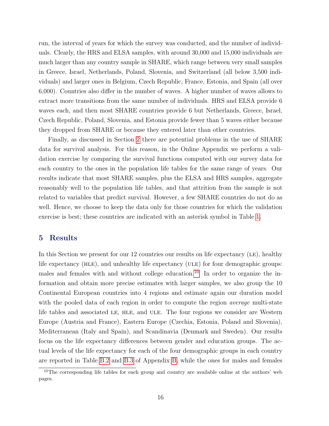run, the interval of years for which the survey was conducted, and the number of individuals. Clearly, the HRS and ELSA samples, with around 30,000 and 15,000 individuals are much larger than any country sample in SHARE, which range between very small samples in Greece, Israel, Netherlands, Poland, Slovenia, and Switzerland (all below 3,500 individuals) and larger ones in Belgium, Czech Republic, France, Estonia, and Spain (all over 6,000). Countries also differ in the number of waves. A higher number of waves allows to extract more transitions from the same number of individuals. HRS and ELSA provide 6 waves each, and then most SHARE countries provide 6 but Netherlands, Greece, Israel, Czech Republic, Poland, Slovenia, and Estonia provide fewer than 5 waves either because they dropped from SHARE or because they entered later than other countries.

Finally, as discussed in Section [2](#page-8-1) there are potential problems in the use of SHARE data for survival analysis. For this reason, in the Online Appendix we perform a validation exercise by comparing the survival functions computed with our survey data for each country to the ones in the population life tables for the same range of years. Our results indicate that most SHARE samples, plus the ELSA and HRS samples, aggregate reasonably well to the population life tables, and that attrition from the sample is not related to variables that predict survival. However, a few SHARE countries do not do as well. Hence, we choose to keep the data only for those countries for which the validation exercise is best; these countries are indicated with an asterisk symbol in Table [1.](#page-16-2)

#### <span id="page-17-0"></span>5 Results

In this Section we present for our 12 countries our results on life expectancy (LE), healthy life expectancy (HLE), and unhealthy life expectancy (ULE) for four demographic groups: males and females with and without college education.<sup>[10](#page-17-1)</sup> In order to organize the information and obtain more precise estimates with larger samples, we also group the 10 Continental European countries into 4 regions and estimate again our duration model with the pooled data of each region in order to compute the region *average* multi-state life tables and associated LE, HLE, and ULE. The four regions we consider are Western Europe (Austria and France), Eastern Europe (Czechia, Estonia, Poland and Slovenia), Mediterranean (Italy and Spain), and Scandinavia (Denmark and Sweden). Our results focus on the life expectancy differences between gender and education groups. The actual levels of the life expectancy for each of the four demographic groups in each country are reported in Table [B.2](#page-41-0) and [B.3](#page-42-0) of Appendix [B,](#page-39-1) while the ones for males and females

<span id="page-17-1"></span><sup>&</sup>lt;sup>10</sup>The corresponding life tables for each group and country are available online at the authors' web pages.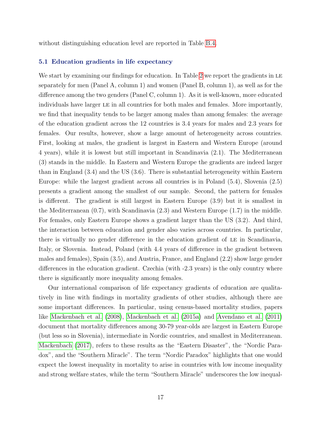<span id="page-18-0"></span>without distinguishing education level are reported in Table [B.4.](#page-43-0)

#### 5.1 Education gradients in life expectancy

We start by examining our findings for education. In Table [2](#page-19-0) we report the gradients in LE separately for men (Panel A, column 1) and women (Panel B, column 1), as well as for the difference among the two genders (Panel C, column 1). As it is well-known, more educated individuals have larger le in all countries for both males and females. More importantly, we find that inequality tends to be larger among males than among females: the average of the education gradient across the 12 countries is 3.4 years for males and 2.3 years for females. Our results, however, show a large amount of heterogeneity across countries. First, looking at males, the gradient is largest in Eastern and Western Europe (around 4 years), while it is lowest but still important in Scandinavia (2.1). The Mediterranean (3) stands in the middle. In Eastern and Western Europe the gradients are indeed larger than in England (3.4) and the US (3.6). There is substantial heterogeneity within Eastern Europe: while the largest gradient across all countries is in Poland (5.4), Slovenia (2.5) presents a gradient among the smallest of our sample. Second, the pattern for females is different. The gradient is still largest in Eastern Europe (3.9) but it is smallest in the Mediterranean (0.7), with Scandinavia (2.3) and Western Europe (1.7) in the middle. For females, only Eastern Europe shows a gradient larger than the US (3.2). And third, the interaction between education and gender also varies across countries. In particular, there is virtually no gender difference in the education gradient of LE in Scandinavia, Italy, or Slovenia. Instead, Poland (with 4.4 years of difference in the gradient between males and females), Spain (3.5), and Austria, France, and England (2.2) show large gender differences in the education gradient. Czechia (with -2.3 years) is the only country where there is significantly more inequality among females.

Our international comparison of life expectancy gradients of education are qualitatively in line with findings in mortality gradients of other studies, although there are some important differences. In particular, using census-based mortality studies, papers like [Mackenbach et al. \(2008\)](#page-49-4), [Mackenbach et al. \(2015a\)](#page-48-5) and [Avendano et al. \(2011\)](#page-46-4) document that mortality differences among 30-79 year-olds are largest in Eastern Europe (but less so in Slovenia), intermediate in Nordic countries, and smallest in Mediterranean. [Mackenbach \(2017\)](#page-48-6), refers to these results as the "Eastern Disaster", the "Nordic Paradox", and the "Southern Miracle". The term "Nordic Paradox" highlights that one would expect the lowest inequality in mortality to arise in countries with low income inequality and strong welfare states, while the term "Southern Miracle" underscores the low inequal-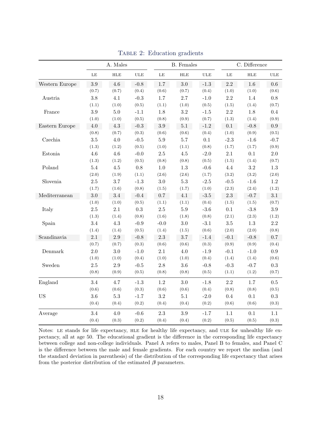<span id="page-19-0"></span>

|                |          | A. Males |            |           | <b>B.</b> Females |        |          | C. Difference |              |
|----------------|----------|----------|------------|-----------|-------------------|--------|----------|---------------|--------------|
|                | $\rm LE$ | HLE      | <b>ULE</b> | LE        | <b>HLE</b>        | ULE    | $\rm LE$ | $HLE$         | $_{\rm ULE}$ |
| Western Europe | $3.9\,$  | $4.6\,$  | $-0.8$     | 1.7       | 3.0               | $-1.3$ | $2.2\,$  | $1.6\,$       | 0.6          |
|                | (0.7)    | (0.7)    | (0.4)      | (0.6)     | (0.7)             | (0.4)  | (1.0)    | (1.0)         | (0.6)        |
| Austria        | 3.8      | 4.1      | $-0.3$     | $1.7\,$   | 2.7               | $-1.0$ | 2.2      | 1.4           | $0.8\,$      |
|                | (1.1)    | (1.0)    | (0.5)      | (1.1)     | (1.0)             | (0.5)  | (1.5)    | (1.4)         | (0.7)        |
| France         | $\!.9$   | $5.0\,$  | $-1.1$     | $1.8\,$   | $\!.2$            | $-1.5$ | 2.2      | $1.8\,$       | $0.4\,$      |
|                | (1.0)    | (1.0)    | (0.5)      | (0.8)     | (0.9)             | (0.7)  | (1.3)    | (1.4)         | (0.9)        |
| Eastern Europe | $4.0\,$  | $4.3\,$  | $-0.3$     | $3.9\,$   | $5.1\,$           | $-1.2$ | $0.1\,$  | $-0.8$        | $0.9\,$      |
|                | (0.8)    | (0.7)    | (0.3)      | (0.6)     | (0.6)             | (0.4)  | (1.0)    | (0.9)         | (0.5)        |
| Czechia        | $3.5\,$  | $4.0\,$  | $-0.5$     | $5.9\,$   | 5.7               | 0.1    | $-2.3$   | $-1.6$        | $-0.7$       |
|                | (1.3)    | (1.2)    | (0.5)      | (1.0)     | (1.1)             | (0.8)  | (1.7)    | (1.7)         | (0.9)        |
| Estonia        | 4.6      | 4.6      | $-0.0$     | $2.5\,$   | $4.5\,$           | $-2.0$ | 2.1      | 0.1           | $2.0\,$      |
|                | (1.3)    | (1.2)    | (0.5)      | (0.8)     | (0.8)             | (0.5)  | (1.5)    | (1.4)         | (0.7)        |
| Poland         | $5.4\,$  | $4.5\,$  | $0.8\,$    | $1.0\,$   | $1.3\,$           | $-0.6$ | 4.4      | $3.2\,$       | $1.3\,$      |
|                | (2.0)    | (1.9)    | (1.1)      | (2.6)     | (2.6)             | (1.7)  | (3.2)    | (3.2)         | (2.0)        |
| Slovenia       | 2.5      | 3.7      | $-1.3$     | $3.0\,$   | $5.3\,$           | $-2.5$ | $-0.5$   | $-1.6$        | $1.2\,$      |
|                | (1.7)    | (1.6)    | (0.8)      | (1.5)     | (1.7)             | (1.0)  | (2.3)    | (2.4)         | (1.2)        |
| Mediterranean  | 3.0      | 3.4      | $-0.4$     | 0.7       | 4.1               | $-3.5$ | 2.3      | $-0.7$        | 3.1          |
|                | (1.0)    | (1.0)    | (0.5)      | (1.1)     | (1.1)             | (0.4)  | (1.5)    | (1.5)         | (0.7)        |
| Italy          | $2.5\,$  | $2.1\,$  | $\rm 0.3$  | $2.5\,$   | $5.9\,$           | $-3.6$ | $0.1\,$  | $-3.8$        | $3.9\,$      |
|                | (1.3)    | (1.4)    | (0.8)      | (1.6)     | (1.8)             | (0.8)  | (2.1)    | (2.3)         | (1.2)        |
| Spain          | $3.4\,$  | $4.3\,$  | $-0.9$     | $-0.0$    | $3.0\,$           | $-3.1$ | $3.5\,$  | $1.3\,$       | $2.2\,$      |
|                | (1.4)    | (1.4)    | (0.5)      | (1.4)     | (1.5)             | (0.6)  | (2.0)    | (2.0)         | (0.8)        |
| Scandinavia    | $2.1\,$  | $2.9\,$  | $-0.8$     | $2.3\,$   | $3.7\,$           | $-1.4$ | $-0.1$   | $-0.8$        | $0.7\,$      |
|                | (0.7)    | (0.7)    | (0.3)      | (0.6)     | (0.6)             | (0.3)  | (0.9)    | (0.9)         | (0.4)        |
| Denmark        | 2.0      | $3.0\,$  | $-1.0$     | 2.1       | 4.0               | $-1.9$ | $-0.1$   | $-1.0$        | 0.9          |
|                | (1.0)    | (1.0)    | (0.4)      | (1.0)     | (1.0)             | (0.4)  | (1.4)    | (1.4)         | (0.6)        |
| Sweden         | $2.5\,$  | $2.9\,$  | $-0.5$     | $2.8\,$   | $3.6\,$           | $-0.8$ | $-0.3$   | $-0.7$        | $\rm 0.3$    |
|                | (0.8)    | (0.9)    | (0.5)      | (0.8)     | (0.8)             | (0.5)  | (1.1)    | (1.2)         | (0.7)        |
| England        | 3.4      | 4.7      | $-1.3$     | $1.2\,$   | 3.0               | $-1.8$ | 2.2      | 1.7           | 0.5          |
|                | (0.6)    | (0.6)    | (0.3)      | (0.6)     | (0.6)             | (0.4)  | (0.8)    | (0.8)         | (0.5)        |
| <b>US</b>      | $3.6\,$  | $5.3\,$  | $-1.7$     | $\!3.2\!$ | 5.1               | $-2.0$ | 0.4      | $0.1\,$       | $\rm 0.3$    |
|                | (0.4)    | (0.4)    | (0.2)      | (0.4)     | (0.4)             | (0.2)  | (0.6)    | (0.6)         | (0.3)        |
| Average        | 3.4      | 4.0      | $-0.6$     | $2.3\,$   | 3.9               | $-1.7$ | 1.1      | 0.1           | 1.1          |
|                | (0.4)    | (0.3)    | (0.2)      | (0.4)     | (0.4)             | (0.2)  | (0.5)    | (0.5)         | (0.3)        |

TABLE 2: Education gradients

Notes: LE stands for life expectancy, HLE for healthy life expectancy, and ULE for unhealthy life expectancy, all at age 50. The educational gradient is the difference in the corresponding life expectancy between college and non-college individuals. Panel A refers to males, Panel B to females, and Panel C is the difference between the male and female gradients. For each country we report the median (and the standard deviation in parenthesis) of the distribution of the corresponding life expectancy that arises from the posterior distribution of the estimated  $\beta$  parameters.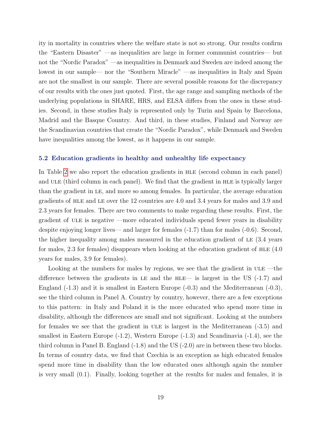ity in mortality in countries where the welfare state is not so strong. Our results confirm the "Eastern Disaster" —as inequalities are large in former communist countries— but not the "Nordic Paradox" —as inequalities in Denmark and Sweden are indeed among the lowest in our sample— nor the "Southern Miracle" —as inequalities in Italy and Spain are not the smallest in our sample. There are several possible reasons for the discrepancy of our results with the ones just quoted. First, the age range and sampling methods of the underlying populations in SHARE, HRS, and ELSA differs from the ones in these studies. Second, in these studies Italy is represented only by Turin and Spain by Barcelona, Madrid and the Basque Country. And third, in these studies, Finland and Norway are the Scandinavian countries that create the "Nordic Paradox", while Denmark and Sweden have inequalities among the lowest, as it happens in our sample.

#### <span id="page-20-0"></span>5.2 Education gradients in healthy and unhealthy life expectancy

In Table [2](#page-19-0) we also report the education gradients in hle (second column in each panel) and ULE (third column in each panel). We find that the gradient in HLE is typically larger than the gradient in le, and more so among females. In particular, the average education gradients of hle and le over the 12 countries are 4.0 and 3.4 years for males and 3.9 and 2.3 years for females. There are two comments to make regarding these results. First, the gradient of ule is negative —more educated individuals spend fewer years in disability despite enjoying longer lives— and larger for females (-1.7) than for males (-0.6). Second, the higher inequality among males measured in the education gradient of LE (3.4 years for males, 2.3 for females) disappears when looking at the education gradient of HLE (4.0) years for males, 3.9 for females).

Looking at the numbers for males by regions, we see that the gradient in  $ULE$  —the difference between the gradients in LE and the HLE— is largest in the US  $(-1.7)$  and England (-1.3) and it is smallest in Eastern Europe (-0.3) and the Mediterranean (-0.3), see the third column in Panel A. Country by country, however, there are a few exceptions to this pattern: in Italy and Poland it is the more educated who spend more time in disability, although the differences are small and not significant. Looking at the numbers for females we see that the gradient in ULE is largest in the Mediterranean  $(-3.5)$  and smallest in Eastern Europe (-1.2), Western Europe (-1.3) and Scandinavia (-1.4), see the third column in Panel B. England  $(-1.8)$  and the US  $(-2.0)$  are in between these two blocks. In terms of country data, we find that Czechia is an exception as high educated females spend more time in disability than the low educated ones although again the number is very small (0.1). Finally, looking together at the results for males and females, it is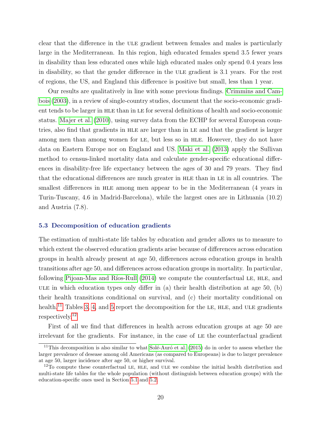clear that the difference in the ULE gradient between females and males is particularly large in the Mediterranean. In this region, high educated females spend 3.5 fewer years in disability than less educated ones while high educated males only spend 0.4 years less in disability, so that the gender difference in the ULE gradient is 3.1 years. For the rest of regions, the US, and England this difference is positive but small, less than 1 year.

Our results are qualitatively in line with some previous findings. [Crimmins and Cam](#page-47-7)[bois \(2003\)](#page-47-7), in a review of single-country studies, document that the socio-economic gradient tends to be larger in hle than in le for several definitions of health and socio-economic status. [Majer et al. \(2010\)](#page-49-3), using survey data from the ECHP for several European countries, also find that gradients in hle are larger than in le and that the gradient is larger among men than among women for LE, but less so in HLE. However, they do not have data on Eastern Europe nor on England and US. [Maki et al. \(2013\)](#page-49-5) apply the Sullivan method to census-linked mortality data and calculate gender-specific educational differences in disability-free life expectancy between the ages of 30 and 79 years. They find that the educational differences are much greater in hle than in le in all countries. The smallest differences in hle among men appear to be in the Mediterranean (4 years in Turin-Tuscany, 4.6 in Madrid-Barcelona), while the largest ones are in Lithuania (10.2) and Austria (7.8).

#### <span id="page-21-2"></span>5.3 Decomposition of education gradients

The estimation of multi-state life tables by education and gender allows us to measure to which extent the observed education gradients arise because of differences across education groups in health already present at age 50, differences across education groups in health transitions after age 50, and differences across education groups in mortality. In particular, following Pijoan-Mas and Ríos-Rull  $(2014)$  we compute the counterfactual LE, HLE, and ULE in which education types only differ in (a) their health distribution at age 50, (b) their health transitions conditional on survival, and (c) their mortality conditional on health.<sup>[11](#page-21-0)</sup> Tables [3,](#page-22-0) [4,](#page-23-0) and [5](#page-24-0) report the decomposition for the LE, HLE, and ULE gradients respectively.[12](#page-21-1)

First of all we find that differences in health across education groups at age 50 are irrelevant for the gradients. For instance, in the case of LE the counterfactual gradient

<span id="page-21-0"></span><sup>&</sup>lt;sup>11</sup>This decomposition is also similar to what Solé-Auró et al. [\(2015\)](#page-49-8) do in order to assess whether the larger prevalence of desease among old Americans (as compared to Europeans) is due to larger prevalence at age 50, larger incidence after age 50, or higher survival.

<span id="page-21-1"></span> $12$ To compute these counterfactual LE, HLE, and ULE we combine the initial health distribution and multi-state life tables for the whole population (without distinguish between education groups) with the education-specific ones used in Section [5.1](#page-18-0) and [5.2.](#page-20-0)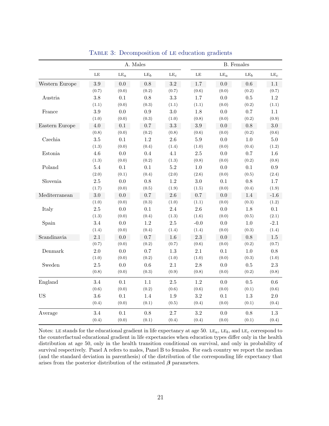<span id="page-22-0"></span>

|                       |           |                 | A. Males        |                 |           |        | <b>B.</b> Females |                 |
|-----------------------|-----------|-----------------|-----------------|-----------------|-----------|--------|-------------------|-----------------|
|                       | $\rm{LE}$ | $\mathrm{LE}_a$ | LE <sub>b</sub> | LE <sub>c</sub> | $\rm{LE}$ | $LE_a$ | LE <sub>b</sub>   | LE <sub>c</sub> |
| Western Europe        | $3.9\,$   | 0.0             | 0.8             | $\!3.2$         | 1.7       | 0.0    | 0.6               | 1.1             |
|                       | (0.7)     | (0.0)           | (0.2)           | (0.7)           | (0.6)     | (0.0)  | (0.2)             | (0.7)           |
| Austria               | $3.8\,$   | 0.1             | 0.8             | $3.3\,$         | 1.7       | 0.0    | $0.5\,$           | 1.2             |
|                       | (1.1)     | (0.0)           | (0.3)           | (1.1)           | (1.1)     | (0.0)  | (0.2)             | (1.1)           |
| France                | $3.9\,$   | 0.0             | 0.9             | $3.0\,$         | 1.8       | 0.0    | 0.7               | 1.1             |
|                       | (1.0)     | (0.0)           | (0.3)           | (1.0)           | (0.8)     | (0.0)  | (0.2)             | (0.9)           |
| Eastern Europe        | 4.0       | 0.1             | 0.7             | $3.3\,$         | 3.9       | 0.0    | $0.8\,$           | $3.0\,$         |
|                       | (0.8)     | (0.0)           | (0.2)           | (0.8)           | (0.6)     | (0.0)  | (0.2)             | (0.6)           |
| Czechia               | $3.5\,$   | $0.1\,$         | $1.2\,$         | $2.6\,$         | $5.9\,$   | 0.0    | $1.0\,$           | $5.0\,$         |
|                       | (1.3)     | (0.0)           | (0.4)           | (1.4)           | (1.0)     | (0.0)  | (0.4)             | (1.2)           |
| Estonia               | $4.6\,$   | $0.0\,$         | 0.4             | 4.1             | $2.5\,$   | 0.0    | $0.7\,$           | $1.6\,$         |
|                       | (1.3)     | (0.0)           | (0.2)           | (1.3)           | (0.8)     | (0.0)  | (0.2)             | (0.8)           |
| Poland                | $5.4\,$   | $0.1\,$         | 0.1             | $5.2\,$         | $1.0\,$   | 0.0    | $0.1\,$           | $\rm 0.9$       |
|                       | (2.0)     | (0.1)           | (0.4)           | (2.0)           | (2.6)     | (0.0)  | (0.5)             | (2.4)           |
| Slovenia              | $2.5\,$   | $0.0\,$         | 0.8             | 1.2             | $3.0\,$   | 0.1    | $0.8\,$           | $1.7\,$         |
|                       | (1.7)     | (0.0)           | (0.5)           | (1.9)           | (1.5)     | (0.0)  | (0.4)             | (1.9)           |
| ${\bf Mediterranean}$ | 3.0       | 0.0             | 0.7             | $2.6\,$         | 0.7       | 0.0    | 1.4               | $-1.6$          |
|                       | (1.0)     | (0.0)           | (0.3)           | (1.0)           | (1.1)     | (0.0)  | (0.3)             | (1.2)           |
| Italy                 | $2.5\,$   | $0.0\,$         | 0.1             | 2.4             | 2.6       | 0.0    | 1.8               | 0.1             |
|                       | (1.3)     | (0.0)           | (0.4)           | (1.3)           | (1.6)     | (0.0)  | (0.5)             | (2.1)           |
| Spain                 | 3.4       | 0.0             | $1.2\,$         | $2.5\,$         | $-0.0$    | 0.0    | 1.0               | $-2.1$          |
|                       | (1.4)     | (0.0)           | (0.4)           | (1.4)           | (1.4)     | (0.0)  | (0.3)             | (1.4)           |
| Scandinavia           | 2.1       | 0.0             | 0.7             | 1.6             | 2.3       | 0.0    | $0.8\,$           | $1.5\,$         |
|                       | (0.7)     | (0.0)           | (0.2)           | (0.7)           | (0.6)     | (0.0)  | (0.2)             | (0.7)           |
| Denmark               | $2.0\,$   | 0.0             | 0.7             | $1.3\,$         | $2.1\,$   | 0.1    | $1.0\,$           | $0.8\,$         |
|                       | (1.0)     | (0.0)           | (0.2)           | (1.0)           | (1.0)     | (0.0)  | (0.3)             | (1.0)           |
| Sweden                | $2.5\,$   | $0.0\,$         | 0.6             | 2.1             | $2.8\,$   | 0.0    | $0.5\,$           | $2.3\,$         |
|                       | (0.8)     | (0.0)           | (0.3)           | (0.9)           | (0.8)     | (0.0)  | (0.2)             | (0.8)           |
| England               | 3.4       | 0.1             | 1.1             | 2.5             | 1.2       | 0.0    | 0.5               | 0.6             |
|                       | (0.6)     | (0.0)           | (0.2)           | (0.6)           | (0.6)     | (0.0)  | (0.1)             | (0.6)           |
| <b>US</b>             | 3.6       | 0.1             | 1.4             | 1.9             | 3.2       | 0.1    | 1.3               | $2.0\,$         |
|                       | (0.4)     | (0.0)           | (0.1)           | (0.5)           | (0.4)     | (0.0)  | (0.1)             | (0.4)           |
| Average               | 3.4       | 0.1             | 0.8             | $2.7\,$         | $3.2\,$   | 0.0    | 0.8               | $1.3\,$         |
|                       | (0.4)     | (0.0)           | (0.1)           | (0.4)           | (0.4)     | (0.0)  | (0.1)             | (0.4)           |

TABLE 3: Decomposition of LE education gradients

Notes: LE stands for the educational gradient in life expectancy at age 50. LE<sub>a</sub>, LE<sub>b</sub>, and LE<sub>c</sub> correspond to the counterfactual educational gradient in life expectancies when education types differ only in the health distribution at age 50, only in the health transition conditional on survival, and only in probability of survival respectively. Panel A refers to males, Panel B to females. For each country we report the median (and the standard deviation in parenthesis) of the distribution of the corresponding life expectancy that arises from the posterior distribution of the estimated  $\beta$  parameters.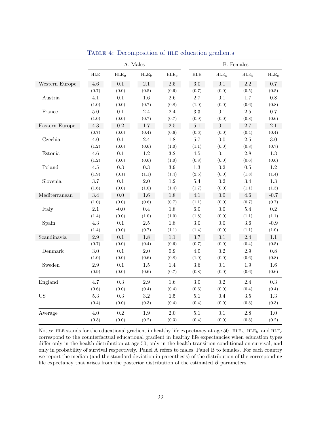<span id="page-23-0"></span>

|                |         |                | A. Males         |                  |             |                  | <b>B.</b> Females |                  |
|----------------|---------|----------------|------------------|------------------|-------------|------------------|-------------------|------------------|
|                | $HLE$   | $\mbox{HLE}_a$ | HLE <sub>b</sub> | $\mathrm{HLE}_c$ | ${\rm HLE}$ | $\mathrm{HLE}_a$ | $HLE_b$           | HLE <sub>c</sub> |
| Western Europe | 4.6     | 0.1            | $2.1\,$          | $2.5\,$          | $3.0\,$     | 0.1              | $2.2\,$           | 0.7              |
|                | (0.7)   | (0.0)          | (0.5)            | (0.6)            | (0.7)       | (0.0)            | (0.5)             | (0.5)            |
| Austria        | 4.1     | 0.1            | 1.6              | 2.6              | 2.7         | 0.1              | $1.7\,$           | 0.8              |
|                | (1.0)   | (0.0)          | (0.7)            | (0.8)            | (1.0)       | (0.0)            | (0.6)             | (0.8)            |
| France         | 5.0     | 0.1            | 2.4              | 2.4              | $\!3.3$     | $0.1\,$          | $2.5\,$           | $0.7\,$          |
|                | (1.0)   | (0.0)          | (0.7)            | (0.7)            | (0.9)       | (0.0)            | (0.8)             | (0.6)            |
| Eastern Europe | 4.3     | $\rm 0.2$      | $1.7\,$          | $2.5\,$          | 5.1         | $0.1\,$          | 2.7               | 2.1              |
|                | (0.7)   | (0.0)          | (0.4)            | (0.6)            | (0.6)       | (0.0)            | (0.4)             | (0.4)            |
| Czechia        | 4.0     | 0.1            | 2.4              | 1.8              | $5.7\,$     | 0.0              | $2.5\,$           | $3.0\,$          |
|                | (1.2)   | (0.0)          | (0.6)            | (1.0)            | (1.1)       | (0.0)            | (0.8)             | (0.7)            |
| Estonia        | 4.6     | 0.1            | 1.2              | $\!3.2\!$        | $4.5\,$     | $0.1\,$          | $2.8\,$           | $1.3\,$          |
|                | (1.2)   | (0.0)          | (0.6)            | (1.0)            | (0.8)       | (0.0)            | (0.6)             | (0.6)            |
| Poland         | $4.5\,$ | $\rm 0.3$      | $\rm 0.3$        | $3.9\,$          | $1.3\,$     | $\rm 0.2$        | $0.5\,$           | $1.2\,$          |
|                | (1.9)   | (0.1)          | (1.1)            | (1.4)            | (2.5)       | (0.0)            | (1.8)             | (1.4)            |
| Slovenia       | 3.7     | 0.1            | $2.0\,$          | 1.2              | $5.4\,$     | 0.2              | 3.4               | 1.3              |
|                | (1.6)   | (0.0)          | (1.0)            | (1.4)            | (1.7)       | (0.0)            | (1.1)             | (1.3)            |
| Mediterranean  | 3.4     | 0.0            | 1.6              | 1.8              | 4.1         | 0.0              | 4.6               | $-0.7$           |
|                | (1.0)   | (0.0)          | (0.6)            | (0.7)            | (1.1)       | (0.0)            | (0.7)             | (0.7)            |
| Italy          | $2.1\,$ | $-0.0$         | 0.4              | 1.8              | 6.0         | 0.0              | $5.4\,$           | $\rm 0.2$        |
|                | (1.4)   | (0.0)          | (1.0)            | (1.0)            | (1.8)       | (0.0)            | (1.1)             | (1.1)            |
| Spain          | 4.3     | 0.1            | $2.5\,$          | 1.8              | $3.0\,$     | $0.0\,$          | $3.6\,$           | $-0.9$           |
|                | (1.4)   | (0.0)          | (0.7)            | (1.1)            | (1.4)       | (0.0)            | (1.1)             | (1.0)            |
| Scandinavia    | $2.9\,$ | 0.1            | 1.8              | $1.1\,$          | $3.7\,$     | $0.1\,$          | $2.4\,$           | 1.1              |
|                | (0.7)   | (0.0)          | (0.4)            | (0.6)            | (0.7)       | (0.0)            | (0.4)             | (0.5)            |
| Denmark        | 3.0     | $0.1\,$        | $2.0\,$          | $\rm 0.9$        | $4.0\,$     | $\rm 0.2$        | $2.9\,$           | $0.8\,$          |
|                | (1.0)   | (0.0)          | (0.6)            | (0.8)            | (1.0)       | (0.0)            | (0.6)             | (0.8)            |
| Sweden         | $2.9\,$ | $0.1\,$        | $1.5\,$          | $1.4\,$          | $3.6\,$     | $0.1\,$          | $1.9\,$           | $1.6\,$          |
|                | (0.9)   | (0.0)          | (0.6)            | (0.7)            | (0.8)       | (0.0)            | (0.6)             | (0.6)            |
| England        | 4.7     | 0.3            | $2.9\,$          | $1.6\,$          | $3.0\,$     | $\rm 0.2$        | 2.4               | $\rm 0.3$        |
|                | (0.6)   | (0.0)          | (0.4)            | (0.4)            | (0.6)       | (0.0)            | (0.4)             | (0.4)            |
| <b>US</b>      | $5.3\,$ | $\rm 0.3$      | 3.2              | $1.5\,$          | $5.1\,$     | 0.4              | $3.5\,$           | $1.3\,$          |
|                | (0.4)   | (0.0)          | (0.3)            | (0.4)            | (0.4)       | (0.0)            | (0.3)             | (0.3)            |
| Average        | 4.0     | $\rm 0.2$      | 1.9              | $2.0\,$          | 5.1         | 0.1              | 2.8               | 1.0              |
|                | (0.3)   | (0.0)          | (0.2)            | (0.3)            | (0.4)       | (0.0)            | (0.3)             | (0.2)            |

TABLE 4: Decomposition of HLE education gradients

Notes: HLE stands for the educational gradient in healthy life expectancy at age 50. HLE<sub>a</sub>, HLE<sub>b</sub>, and HLE<sub>c</sub> correspond to the counterfactual educational gradient in healthy life expectancies when education types differ only in the health distribution at age 50, only in the health transition conditional on survival, and only in probability of survival respectively. Panel A refers to males, Panel B to females. For each country we report the median (and the standard deviation in parenthesis) of the distribution of the corresponding life expectancy that arises from the posterior distribution of the estimated  $\beta$  parameters.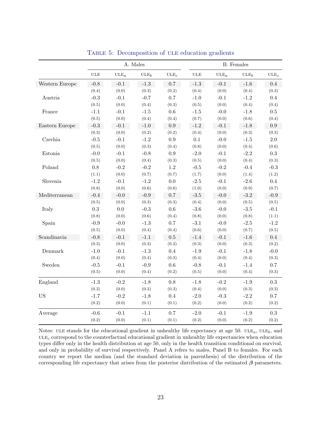<span id="page-24-0"></span>

|                |            |                   | A. Males         |                   |            |                   | <b>B.</b> Females |                   |
|----------------|------------|-------------------|------------------|-------------------|------------|-------------------|-------------------|-------------------|
|                | <b>ULE</b> | $_{\text{ULE}_a}$ | ULE <sub>b</sub> | $_{\text{ULE}_c}$ | <b>ULE</b> | $_{\text{ULE}_a}$ | ULE <sub>b</sub>  | $_{\text{ULE}_c}$ |
| Western Europe | $-0.8$     | $-0.1$            | $-1.3$           | $0.7\,$           | $-1.3$     | $-0.1$            | $-1.6$            | 0.4               |
|                | (0.4)      | (0.0)             | (0.3)            | (0.2)             | (0.4)      | (0.0)             | (0.4)             | (0.3)             |
| Austria        | $-0.3$     | $-0.1$            | $-0.7$           | $0.7\,$           | $-1.0$     | $-0.1$            | $-1.2$            | $0.4\,$           |
|                | (0.5)      | (0.0)             | (0.4)            | (0.3)             | (0.5)      | (0.0)             | (0.4)             | (0.4)             |
| France         | $-1.1$     | $-0.1$            | $-1.5$           | 0.6               | $-1.5$     | $-0.0$            | $-1.8$            | 0.5               |
|                | (0.5)      | (0.0)             | (0.4)            | (0.4)             | (0.7)      | (0.0)             | (0.6)             | (0.4)             |
| Eastern Europe | $-0.3$     | $-0.1$            | $-1.0$           | 0.9               | $-1.2$     | $-0.1$            | $-1.8$            | 0.9               |
|                | (0.3)      | (0.0)             | (0.2)            | (0.2)             | (0.4)      | (0.0)             | (0.3)             | (0.3)             |
| Czechia        | $-0.5$     | $-0.1$            | $-1.2$           | 0.9               | 0.1        | $-0.0$            | $-1.5$            | $2.0\,$           |
|                | (0.5)      | (0.0)             | (0.3)            | (0.4)             | (0.8)      | (0.0)             | (0.4)             | (0.6)             |
| Estonia        | $-0.0$     | $-0.1$            | $-0.8$           | 0.9               | $-2.0$     | $-0.1$            | $-2.2$            | $\rm 0.3$         |
|                | (0.5)      | (0.0)             | (0.4)            | (0.3)             | (0.5)      | (0.0)             | (0.4)             | (0.3)             |
| Poland         | 0.8        | $-0.2$            | $-0.2$           | 1.2               | $-0.5$     | $-0.2$            | $-0.4$            | $-0.3$            |
|                | (1.1)      | (0.0)             | (0.7)            | (0.7)             | (1.7)      | (0.0)             | (1.4)             | (1.2)             |
| Slovenia       | $-1.2$     | $-0.1$            | $-1.2$           | 0.0               | $-2.5$     | $-0.1$            | $-2.6$            | $0.4\,$           |
|                | (0.8)      | (0.0)             | (0.6)            | (0.6)             | (1.0)      | (0.0)             | (0.9)             | (0.7)             |
| Mediterranean  | $-0.4$     | $-0.0$            | $-0.9$           | 0.7               | $-3.5$     | $-0.0$            | $-3.2$            | $-0.9$            |
|                | (0.5)      | (0.0)             | (0.3)            | (0.3)             | (0.4)      | (0.0)             | (0.5)             | (0.5)             |
| Italy          | $0.3\,$    | $0.0\,$           | $-0.3$           | $0.6\,$           | $-3.6$     | $-0.0$            | $-3.5$            | $-0.1$            |
|                | (0.8)      | (0.0)             | (0.6)            | (0.4)             | (0.8)      | (0.0)             | (0.8)             | (1.1)             |
| Spain          | $-0.9$     | $-0.0$            | $-1.3$           | $0.7\,$           | $-3.1$     | $-0.0$            | $-2.5$            | $-1.2$            |
|                | (0.5)      | (0.0)             | (0.4)            | (0.4)             | (0.6)      | (0.0)             | (0.7)             | (0.5)             |
| Scandinavia    | $-0.8$     | $-0.1$            | $-1.1$           | $0.5\,$           | $-1.4$     | $-0.1$            | $-1.6$            | $0.4\,$           |
|                | (0.3)      | (0.0)             | (0.3)            | (0.2)             | (0.3)      | (0.0)             | (0.3)             | (0.2)             |
| Denmark        | $-1.0$     | $-0.1$            | $-1.3$           | 0.4               | $-1.9$     | $-0.1$            | $-1.8$            | $-0.0$            |
|                | (0.4)      | (0.0)             | (0.4)            | (0.3)             | (0.4)      | (0.0)             | (0.4)             | (0.3)             |
| Sweden         | $-0.5$     | $-0.1$            | $-0.9$           | $0.6\,$           | $-0.8$     | $-0.1$            | $-1.4$            | $0.7\,$           |
|                | (0.5)      | (0.0)             | (0.4)            | (0.2)             | (0.5)      | (0.0)             | (0.4)             | (0.3)             |
| England        | $-1.3$     | $-0.2$            | $-1.8$           | $0.8\,$           | $-1.8$     | $-0.2$            | $-1.9$            | $\rm 0.3$         |
|                | (0.3)      | (0.0)             | (0.3)            | (0.3)             | (0.4)      | (0.0)             | (0.3)             | (0.3)             |
| <b>US</b>      | $-1.7$     | $-0.2$            | $-1.8$           | 0.4               | $-2.0$     | $-0.3$            | $-2.2$            | 0.7               |
|                | (0.2)      | (0.0)             | (0.1)            | (0.1)             | (0.2)      | (0.0)             | (0.2)             | (0.2)             |
| Average        | $-0.6$     | $-0.1$            | $-1.1$           | $0.7\,$           | $-2.0$     | $-0.1$            | $-1.9$            | $\rm 0.3$         |
|                | (0.2)      | (0.0)             | (0.1)            | (0.1)             | (0.2)      | (0.0)             | (0.2)             | (0.2)             |

TABLE 5: Decomposition of ULE education gradients

Notes: ULE stands for the educational gradient in unhealthy life expectancy at age 50. ULE<sub>a</sub>, ULE<sub>b</sub>, and  $ULE<sub>c</sub>$  correspond to the counterfactual educational gradient in unhealthy life expectancies when education types differ only in the health distribution at age 50, only in the health transition conditional on survival, and only in probability of survival respectively. Panel A refers to males, Panel B to females. For each country we report the median (and the standard deviation in parenthesis) of the distribution of the corresponding life expectancy that arises from the posterior distribution of the estimated  $\beta$  parameters.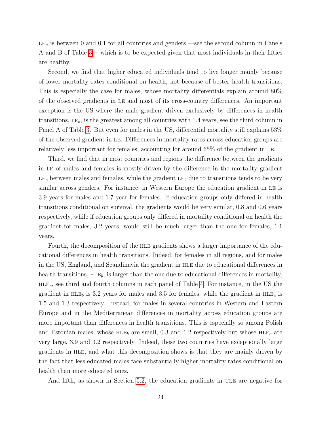$LE_a$  is between 0 and 0.1 for all countries and genders —see the second column in Panels A and B of Table [3—](#page-22-0) which is to be expected given that most individuals in their fifties are healthy.

Second, we find that higher educated individuals tend to live longer mainly because of lower mortality rates conditional on health, not because of better health transitions. This is especially the case for males, whose mortality differentials explain around 80% of the observed gradients in le and most of its cross-country differences. An important exception is the US where the male gradient driven exclusively by differences in health transitions,  $LE_b$ , is the greatest among all countries with 1.4 years, see the third column in Panel A of Table [3.](#page-22-0) But even for males in the US, differential mortality still explains 53% of the observed gradient in le. Differences in mortality rates across education groups are relatively less important for females, accounting for around 65% of the gradient in le.

Third, we find that in most countries and regions the difference between the gradients in le of males and females is mostly driven by the difference in the mortality gradient  $LE<sub>c</sub>$  between males and females, while the gradient  $LE<sub>b</sub>$  due to transitions tends to be very similar across genders. For instance, in Western Europe the education gradient in LE is 3.9 years for males and 1.7 year for females. If education groups only differed in health transitions conditional on survival, the gradients would be very similar, 0.8 and 0.6 years respectively, while if education groups only differed in mortality conditional on health the gradient for males, 3.2 years, would still be much larger than the one for females, 1.1 years.

Fourth, the decomposition of the hle gradients shows a larger importance of the educational differences in health transitions. Indeed, for females in all regions, and for males in the US, England, and Scandinavia the gradient in hle due to educational differences in health transitions,  $HLE_b$ , is larger than the one due to educational differences in mortality,  $HLE<sub>c</sub>$ , see third and fourth columns in each panel of Table [4.](#page-23-0) For instance, in the US the gradient in  $HLE_b$  is 3.2 years for males and 3.5 for females, while the gradient in  $HLE_c$  is 1.5 and 1.3 respectively. Instead, for males in several countries in Western and Eastern Europe and in the Mediterranean differences in mortality across education groups are more important than differences in health transitions. This is especially so among Polish and Estonian males, whose  $HLE_b$  are small, 0.3 and 1.2 respectively but whose  $HLE_c$  are very large, 3.9 and 3.2 respectively. Indeed, these two countries have exceptionally large gradients in hle, and what this decomposition shows is that they are mainly driven by the fact that less educated males face substantially higher mortality rates conditional on health than more educated ones.

And fifth, as shown in Section [5.2,](#page-20-0) the education gradients in ULE are negative for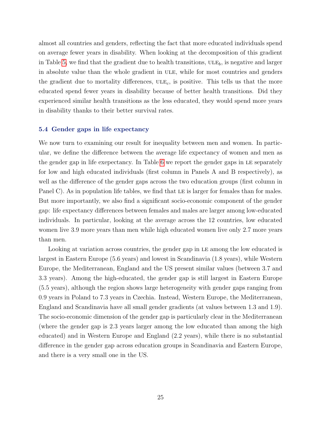almost all countries and genders, reflecting the fact that more educated individuals spend on average fewer years in disability. When looking at the decomposition of this gradient in Table [5,](#page-24-0) we find that the gradient due to health transitions,  $ULE<sub>b</sub>$ , is negative and larger in absolute value than the whole gradient in ULE, while for most countries and genders the gradient due to mortality differences,  $_{\text{ULEc}}$ , is positive. This tells us that the more educated spend fewer years in disability because of better health transitions. Did they experienced similar health transitions as the less educated, they would spend more years in disability thanks to their better survival rates.

#### 5.4 Gender gaps in life expectancy

We now turn to examining our result for inequality between men and women. In particular, we define the difference between the average life expectancy of women and men as the gender gap in life exepectancy. In Table [6](#page-28-0) we report the gender gaps in LE separately for low and high educated individuals (first column in Panels A and B respectively), as well as the difference of the gender gaps across the two education groups (first column in Panel C). As in population life tables, we find that LE is larger for females than for males. But more importantly, we also find a significant socio-economic component of the gender gap: life expectancy differences between females and males are larger among low-educated individuals. In particular, looking at the average across the 12 countries, low educated women live 3.9 more years than men while high educated women live only 2.7 more years than men.

<span id="page-26-0"></span>Looking at variation across countries, the gender gap in LE among the low educated is largest in Eastern Europe (5.6 years) and lowest in Scandinavia (1.8 years), while Western Europe, the Mediterranean, England and the US present similar values (between 3.7 and 3.3 years). Among the high-educated, the gender gap is still largest in Eastern Europe (5.5 years), although the region shows large heterogeneity with gender gaps ranging from 0.9 years in Poland to 7.3 years in Czechia. Instead, Western Europe, the Mediterranean, England and Scandinavia have all small gender gradients (at values between 1.3 and 1.9). The socio-economic dimension of the gender gap is particularly clear in the Mediterranean (where the gender gap is 2.3 years larger among the low educated than among the high educated) and in Western Europe and England (2.2 years), while there is no substantial difference in the gender gap across education groups in Scandinavia and Eastern Europe, and there is a very small one in the US.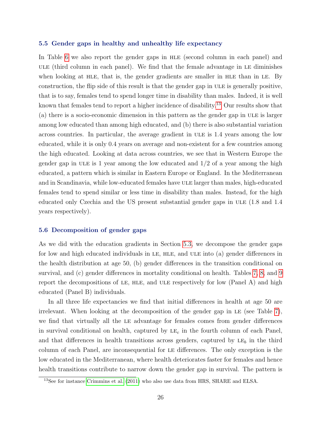#### 5.5 Gender gaps in healthy and unhealthy life expectancy

In Table [6](#page-28-0) we also report the gender gaps in HLE (second column in each panel) and ule (third column in each panel). We find that the female advantage in le diminishes when looking at HLE, that is, the gender gradients are smaller in HLE than in LE. By construction, the flip side of this result is that the gender gap in ULE is generally positive, that is to say, females tend to spend longer time in disability than males. Indeed, it is well known that females tend to report a higher incidence of disability.<sup>[13](#page-27-0)</sup> Our results show that (a) there is a socio-economic dimension in this pattern as the gender gap in ULE is larger among low educated than among high educated, and (b) there is also substantial variation across countries. In particular, the average gradient in ule is 1.4 years among the low educated, while it is only 0.4 years on average and non-existent for a few countries among the high educated. Looking at data across countries, we see that in Western Europe the gender gap in ULE is 1 year among the low educated and  $1/2$  of a year among the high educated, a pattern which is similar in Eastern Europe or England. In the Mediterranean and in Scandinavia, while low-educated females have ULE larger than males, high-educated females tend to spend similar or less time in disability than males. Instead, for the high educated only Czechia and the US present substantial gender gaps in ULE (1.8 and 1.4 years respectively).

#### <span id="page-27-1"></span>5.6 Decomposition of gender gaps

As we did with the education gradients in Section [5.3,](#page-21-2) we decompose the gender gaps for low and high educated individuals in LE, HLE, and ULE into (a) gender differences in the health distribution at age 50, (b) gender differences in the transition conditional on survival, and (c) gender differences in mortality conditional on health. Tables [7,](#page-30-0) [8,](#page-31-0) and [9](#page-32-0) report the decompositions of LE, HLE, and ULE respectively for low (Panel A) and high educated (Panel B) individuals.

In all three life expectancies we find that initial differences in health at age 50 are irrelevant. When looking at the decomposition of the gender gap in LE (see Table [7\)](#page-30-0), we find that virtually all the le advantage for females comes from gender differences in survival conditional on health, captured by  $LE<sub>c</sub>$  in the fourth column of each Panel, and that differences in health transitions across genders, captured by  $LE_b$  in the third column of each Panel, are inconsequential for le differences. The only exception is the low educated in the Mediterranean, where health deteriorates faster for females and hence health transitions contribute to narrow down the gender gap in survival. The pattern is

<span id="page-27-0"></span><sup>13</sup>See for instance [Crimmins et al.](#page-47-8) [\(2011\)](#page-47-8) who also use data from HRS, SHARE and ELSA.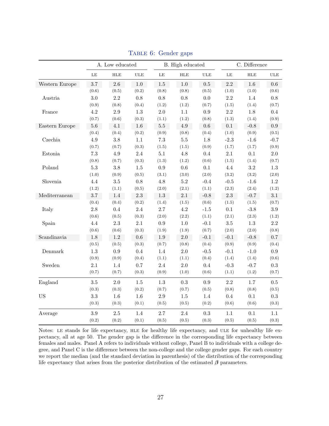<span id="page-28-0"></span>

|                |         | A. Low educated |            |          | B. High educated |               |         | C. Difference |            |
|----------------|---------|-----------------|------------|----------|------------------|---------------|---------|---------------|------------|
|                | LE      | <b>HLE</b>      | <b>ULE</b> | $\rm LE$ | <b>HLE</b>       | $_{\rm ULE}$  | LE      | HLE           | <b>ULE</b> |
| Western Europe | 3.7     | $2.6\,$         | 1.0        | $1.5\,$  | 1.0              | 0.5           | 2.2     | 1.6           | 0.6        |
|                | (0.6)   | (0.5)           | (0.2)      | (0.8)    | (0.8)            | (0.5)         | (1.0)   | (1.0)         | (0.6)      |
| Austria        | 3.0     | $2.2\,$         | $0.8\,$    | $0.8\,$  | $0.8\,$          | 0.0           | 2.2     | 1.4           | $0.8\,$    |
|                | (0.9)   | (0.8)           | (0.4)      | (1.2)    | (1.2)            | (0.7)         | (1.5)   | (1.4)         | (0.7)      |
| France         | 4.2     | $2.9\,$         | 1.3        | $2.0\,$  | 1.1              | 0.9           | 2.2     | 1.8           | $0.4\,$    |
|                | (0.7)   | (0.6)           | (0.3)      | (1.1)    | (1.2)            | (0.8)         | (1.3)   | (1.4)         | (0.9)      |
| Eastern Europe | $5.6\,$ | 4.1             | 1.6        | $5.5\,$  | 4.9              | 0.6           | $0.1\,$ | $-0.8$        | 0.9        |
|                | (0.4)   | (0.4)           | (0.2)      | (0.9)    | (0.8)            | (0.4)         | (1.0)   | (0.9)         | (0.5)      |
| Czechia        | 4.9     | 3.8             | $1.1\,$    | $7.3\,$  | $5.5\,$          | $1.8\,$       | $-2.3$  | $-1.6$        | $-0.7$     |
|                | (0.7)   | (0.7)           | (0.3)      | (1.5)    | (1.5)            | (0.9)         | (1.7)   | (1.7)         | (0.9)      |
| Estonia        | $7.3\,$ | $4.9\,$         | $2.4\,$    | $5.1\,$  | $4.8\,$          | $0.4\,$       | $2.1\,$ | $0.1\,$       | $2.0\,$    |
|                | (0.8)   | (0.7)           | (0.3)      | (1.3)    | (1.2)            | (0.6)         | (1.5)   | (1.4)         | (0.7)      |
| Poland         | $5.3\,$ | $3.8\,$         | $1.5\,$    | $0.9\,$  | $0.6\,$          | $0.1\,$       | $4.4\,$ | $3.2\,$       | $1.3\,$    |
|                | (1.0)   | (0.9)           | (0.5)      | (3.1)    | (3.0)            | (2.0)         | (3.2)   | (3.2)         | (2.0)      |
| Slovenia       | $4.4\,$ | $3.5\,$         | $0.8\,$    | 4.8      | $5.2\,$          | $-0.4$        | $-0.5$  | $-1.6$        | $1.2\,$    |
|                | (1.2)   | (1.1)           | (0.5)      | (2.0)    | (2.1)            | (1.1)         | (2.3)   | (2.4)         | (1.2)      |
| Mediterranean  | 3.7     | 1.4             | 2.3        | 1.3      | 2.1              | $-0.8$        | 2.3     | $-0.7$        | 3.1        |
|                | (0.4)   | (0.4)           | (0.2)      | (1.4)    | (1.5)            | (0.6)         | (1.5)   | (1.5)         | (0.7)      |
| Italy          | 2.8     | $0.4\,$         | $2.4\,$    | $2.7\,$  | $4.2\,$          | $\text{-}1.5$ | $0.1\,$ | $-3.8$        | $3.9\,$    |
|                | (0.6)   | (0.5)           | (0.3)      | (2.0)    | (2.2)            | (1.1)         | (2.1)   | (2.3)         | (1.2)      |
| Spain          | 4.4     | 2.3             | $2.1\,$    | $0.9\,$  | $1.0\,$          | $-0.1$        | $3.5\,$ | 1.3           | $2.2\,$    |
|                | (0.6)   | (0.6)           | (0.3)      | (1.9)    | (1.9)            | (0.7)         | (2.0)   | (2.0)         | (0.8)      |
| Scandinavia    | 1.8     | $1.2\,$         | $0.6\,$    | $1.9\,$  | $2.0\,$          | $-0.1$        | $-0.1$  | $-0.8$        | $0.7\,$    |
|                | (0.5)   | (0.5)           | (0.3)      | (0.7)    | (0.8)            | (0.4)         | (0.9)   | (0.9)         | (0.4)      |
| Denmark        | 1.3     | 0.9             | 0.4        | 1.4      | $2.0\,$          | $-0.5$        | $-0.1$  | $-1.0$        | $\rm 0.9$  |
|                | (0.9)   | (0.9)           | (0.4)      | (1.1)    | (1.1)            | (0.4)         | (1.4)   | (1.4)         | (0.6)      |
| Sweden         | 2.1     | $1.4\,$         | 0.7        | $2.4\,$  | 2.0              | 0.4           | $-0.3$  | $-0.7$        | $\rm 0.3$  |
|                | (0.7)   | (0.7)           | (0.3)      | (0.9)    | (1.0)            | (0.6)         | (1.1)   | (1.2)         | (0.7)      |
| England        | 3.5     | 2.0             | 1.5        | $1.3\,$  | 0.3              | 0.9           | 2.2     | 1.7           | $0.5\,$    |
|                | (0.3)   | (0.3)           | (0.2)      | (0.7)    | (0.7)            | (0.5)         | (0.8)   | (0.8)         | (0.5)      |
| <b>US</b>      | 3.3     | $1.6\,$         | 1.6        | $2.9\,$  | $1.5\,$          | 1.4           | 0.4     | 0.1           | $\rm 0.3$  |
|                | (0.3)   | (0.3)           | (0.1)      | (0.5)    | (0.5)            | (0.2)         | (0.6)   | (0.6)         | (0.3)      |
| Average        | 3.9     | $2.5\,$         | 1.4        | 2.7      | 2.4              | 0.3           | $1.1\,$ | 0.1           | $1.1\,$    |
|                | (0.2)   | (0.2)           | (0.1)      | (0.5)    | (0.5)            | (0.3)         | (0.5)   | (0.5)         | (0.3)      |

TABLE 6: Gender gaps

Notes: LE stands for life expectancy, HLE for healthy life expectancy, and ULE for unhealthy life expectancy, all at age 50. The gender gap is the difference in the corresponding life expectancy between females and males. Panel A refers to individuals without college, Panel B to individuals with a college degree, and Panel C is the difference between the non-college and the college gender gaps. For each country we report the median (and the standard deviation in parenthesis) of the distribution of the corresponding life expectancy that arises from the posterior distribution of the estimated  $\beta$  parameters.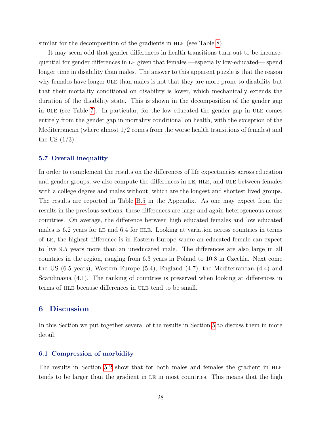similar for the decomposition of the gradients in HLE (see Table [8\)](#page-31-0).

It may seem odd that gender differences in health transitions turn out to be inconsequential for gender differences in LE given that females —especially low-educated— spend longer time in disability than males. The answer to this apparent puzzle is that the reason why females have longer ULE than males is not that they are more prone to disability but that their mortality conditional on disability is lower, which mechanically extends the duration of the disability state. This is shown in the decomposition of the gender gap in ULE (see Table [7\)](#page-30-0). In particular, for the low-educated the gender gap in ULE comes entirely from the gender gap in mortality conditional on health, with the exception of the Mediterranean (where almost 1/2 comes from the worse health transitions of females) and the US  $(1/3)$ .

#### 5.7 Overall inequality

In order to complement the results on the differences of life expectancies across education and gender groups, we also compute the differences in LE, HLE, and ULE between females with a college degree and males without, which are the longest and shortest lived groups. The results are reported in Table [B.5](#page-44-0) in the Appendix. As one may expect from the results in the previous sections, these differences are large and again heterogeneous across countries. On average, the difference between high educated females and low educated males is 6.2 years for LE and 6.4 for HLE. Looking at variation across countries in terms of le, the highest difference is in Eastern Europe where an educated female can expect to live 9.5 years more than an uneducated male. The differences are also large in all countries in the region, ranging from 6.3 years in Poland to 10.8 in Czechia. Next come the US (6.5 years), Western Europe (5.4), England (4.7), the Mediterranean (4.4) and Scandinavia (4.1). The ranking of countries is preserved when looking at differences in terms of HLE because differences in ULE tend to be small.

#### <span id="page-29-0"></span>6 Discussion

In this Section we put together several of the results in Section [5](#page-17-0) to discuss them in more detail.

#### 6.1 Compression of morbidity

The results in Section [5.2](#page-20-0) show that for both males and females the gradient in HLE tends to be larger than the gradient in le in most countries. This means that the high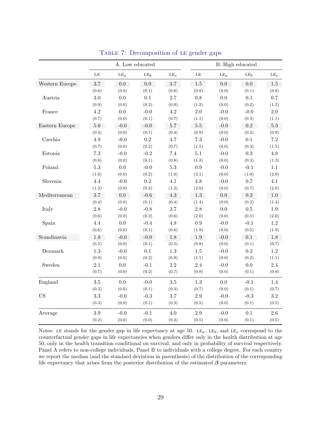<span id="page-30-0"></span>

|                          |           | A. Low educated |                 |                 | B. High educated |         |                 |                 |
|--------------------------|-----------|-----------------|-----------------|-----------------|------------------|---------|-----------------|-----------------|
|                          | $\rm{LE}$ | $\mathrm{LE}_a$ | LE <sub>b</sub> | LE <sub>c</sub> | $\rm{LE}$        | $LE_a$  | LE <sub>b</sub> | LE <sub>c</sub> |
| Western Europe           | $3.7\,$   | 0.0             | 0.0             | $3.7\,$         | $1.5\,$          | $0.0\,$ | 0.0             | $1.5\,$         |
|                          | (0.6)     | (0.0)           | (0.1)           | (0.6)           | (0.8)            | (0.0)   | (0.1)           | (0.8)           |
| Austria                  | $3.0\,$   | 0.0             | 0.1             | 2.7             | 0.8              | 0.0     | $0.1\,$         | 0.7             |
|                          | (0.9)     | (0.0)           | (0.2)           | (0.9)           | (1.2)            | (0.0)   | (0.2)           | (1.2)           |
| France                   | 4.2       | 0.0             | $-0.0$          | $4.2\,$         | $2.0\,$          | $-0.0$  | $-0.0$          | $2.0\,$         |
|                          | (0.7)     | (0.0)           | (0.1)           | (0.7)           | (1.1)            | (0.0)   | (0.3)           | (1.1)           |
| Eastern Europe           | $5.6\,$   | $-0.0$          | $-0.0$          | $5.7\,$         | $5.5\,$          | $-0.0$  | $\rm 0.2$       | $5.3\,$         |
|                          | (0.4)     | (0.0)           | (0.1)           | (0.4)           | (0.9)            | (0.0)   | (0.2)           | (0.9)           |
| $\operatorname{Czechia}$ | $4.9\,$   | $-0.0$          | $\rm 0.2$       | $4.7\,$         | $7.3\,$          | $-0.0$  | $0.1\,$         | $7.2\,$         |
|                          | (0.7)     | (0.0)           | (0.2)           | (0.7)           | (1.5)            | (0.0)   | (0.3)           | (1.5)           |
| Estonia                  | $7.3\,$   | $-0.0$          | $-0.2$          | $7.4\,$         | $5.1\,$          | $-0.0$  | $\rm 0.3$       | $4.8\,$         |
|                          | (0.8)     | (0.0)           | (0.1)           | (0.8)           | (1.3)            | (0.0)   | (0.3)           | (1.3)           |
| Poland                   | $5.3\,$   | $0.0\,$         | $-0.0$          | $5.3\,$         | $\rm 0.9$        | $-0.0$  | $-0.1$          | 1.1             |
|                          | (1.0)     | (0.0)           | (0.2)           | (1.0)           | (3.1)            | (0.0)   | (1.0)           | (2.9)           |
| Slovenia                 | 4.4       | $-0.0$          | $\rm 0.2$       | 4.1             | 4.8              | $-0.0$  | 0.7             | 4.1             |
|                          | (1.2)     | (0.0)           | (0.2)           | (1.2)           | (2.0)            | (0.0)   | (0.7)           | (2.0)           |
| Mediterranean            | 3.7       | 0.0             | $-0.6$          | 4.3             | $1.3\,$          | 0.0     | 0.3             | $1.0\,$         |
|                          | (0.4)     | (0.0)           | (0.1)           | (0.4)           | (1.4)            | (0.0)   | (0.3)           | (1.4)           |
| Italy                    | $2.8\,$   | $-0.0$          | $-0.8$          | 3.7             | 2.8              | 0.0     | 0.5             | 1.9             |
|                          | (0.6)     | (0.0)           | (0.2)           | (0.6)           | (2.0)            | (0.0)   | (0.5)           | (2.0)           |
| Spain                    | 4.4       | 0.0             | $-0.4$          | 4.8             | 0.9              | $-0.0$  | $-0.1$          | 1.2             |
|                          | (0.6)     | (0.0)           | (0.1)           | (0.6)           | (1.9)            | (0.0)   | (0.5)           | (1.9)           |
| Scandinavia              | $1.8\,$   | $-0.0$          | $-0.0$          | 1.8             | 1.9              | $-0.0$  | $0.1\,$         | 1.8             |
|                          | (0.5)     | (0.0)           | (0.1)           | (0.5)           | (0.8)            | (0.0)   | (0.1)           | (0.7)           |
| Denmark                  | $1.3\,$   | $-0.0$          | 0.1             | $1.3\,$         | $1.5\,$          | $-0.0$  | $\rm 0.3$       | $1.2\,$         |
|                          | (0.9)     | (0.0)           | (0.2)           | (0.9)           | (1.1)            | (0.0)   | (0.2)           | (1.1)           |
| Sweden                   | 2.1       | $0.0\,$         | $-0.1$          | $2.2\,$         | 2.4              | $-0.0$  | $0.0\,$         | $2.4\,$         |
|                          | (0.7)     | (0.0)           | (0.2)           | (0.7)           | (0.9)            | (0.0)   | (0.1)           | (0.9)           |
| England                  | 3.5       | 0.0             | $-0.0$          | $3.5\,$         | 1.3              | 0.0     | $-0.1$          | 1.4             |
|                          | (0.3)     | (0.0)           | (0.1)           | (0.3)           | (0.7)            | (0.0)   | (0.1)           | (0.7)           |
| <b>US</b>                | 3.3       | $-0.0$          | $-0.3$          | 3.7             | $2.9\,$          | $-0.0$  | $-0.3$          | $3.2\,$         |
|                          | (0.3)     | (0.0)           | (0.1)           | (0.3)           | (0.5)            | (0.0)   | (0.1)           | (0.5)           |
| Average                  | $3.9\,$   | $-0.0$          | $-0.1$          | 4.0             | $2.9\,$          | $-0.0$  | $0.1\,$         | $2.6\,$         |
|                          | (0.2)     | (0.0)           | (0.0)           | (0.2)           | (0.5)            | (0.0)   | (0.1)           | (0.5)           |

TABLE 7: Decomposition of LE gender gaps

Notes: LE stands for the gender gap in life expectancy at age 50. LE<sub>a</sub>, LE<sub>b</sub>, and LE<sub>c</sub> correspond to the counterfactual gender gaps in life expectancies when genders differ only in the health distribution at age 50, only in the health transition conditional on survival, and only in probability of survival respectively. Panel A refers to non-college individuals, Panel B to individuals with a college degree. For each country we report the median (and the standard deviation in parenthesis) of the distribution of the corresponding life expectancy that arises from the posterior distribution of the estimated  $\beta$  parameters.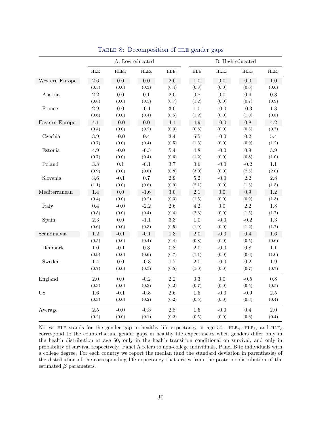<span id="page-31-0"></span>

|                |            |         | A. Low educated  |                  |            |         | B. High educated |                        |
|----------------|------------|---------|------------------|------------------|------------|---------|------------------|------------------------|
|                | <b>HLE</b> | $HLE_a$ | HLE <sub>b</sub> | HLE <sub>c</sub> | <b>HLE</b> | $HLE_a$ | HLE <sub>b</sub> | $\operatorname{HLE}_c$ |
| Western Europe | 2.6        | 0.0     | 0.0              | $2.6\,$          | $1.0\,$    | 0.0     | 0.0              | 1.0                    |
|                | (0.5)      | (0.0)   | (0.3)            | (0.4)            | (0.8)      | (0.0)   | (0.6)            | (0.6)                  |
| Austria        | 2.2        | $0.0\,$ | $0.1\,$          | $2.0\,$          | $0.8\,$    | $0.0\,$ | $0.4\,$          | $\rm 0.3$              |
|                | (0.8)      | (0.0)   | (0.5)            | (0.7)            | (1.2)      | (0.0)   | (0.7)            | (0.9)                  |
| France         | 2.9        | $0.0\,$ | $-0.1$           | 3.0              | $1.0\,$    | $-0.0$  | $-0.3$           | 1.3                    |
|                | (0.6)      | (0.0)   | (0.4)            | (0.5)            | (1.2)      | (0.0)   | (1.0)            | (0.8)                  |
| Eastern Europe | 4.1        | $-0.0$  | 0.0              | 4.1              | 4.9        | $-0.0$  | 0.8              | 4.2                    |
|                | (0.4)      | (0.0)   | (0.2)            | (0.3)            | (0.8)      | (0.0)   | (0.5)            | (0.7)                  |
| Czechia        | 3.9        | $-0.0$  | 0.4              | 3.4              | $5.5\,$    | $-0.0$  | 0.2              | $5.4\,$                |
|                | (0.7)      | (0.0)   | (0.4)            | (0.5)            | (1.5)      | (0.0)   | (0.9)            | (1.2)                  |
| Estonia        | 4.9        | $-0.0$  | $-0.5$           | 5.4              | 4.8        | $-0.0$  | 0.9              | $3.9\,$                |
|                | (0.7)      | (0.0)   | (0.4)            | (0.6)            | (1.2)      | (0.0)   | (0.8)            | (1.0)                  |
| Poland         | $3.8\,$    | 0.1     | $-0.1$           | 3.7              | $0.6\,$    | $-0.0$  | $-0.2$           | $1.1\,$                |
|                | (0.9)      | (0.0)   | (0.6)            | (0.8)            | (3.0)      | (0.0)   | (2.5)            | (2.0)                  |
| Slovenia       | 3.6        | $-0.1$  | 0.7              | 2.9              | $5.2\,$    | $-0.0$  | $2.2\,$          | $2.8\,$                |
|                | (1.1)      | (0.0)   | (0.6)            | (0.9)            | (2.1)      | (0.0)   | (1.5)            | (1.5)                  |
| Mediterranean  | 1.4        | 0.0     | $-1.6$           | $3.0\,$          | 2.1        | $0.0\,$ | $\rm 0.9$        | $1.2\,$                |
|                | (0.4)      | (0.0)   | (0.2)            | (0.3)            | (1.5)      | (0.0)   | (0.9)            | (1.3)                  |
| Italy          | 0.4        | $-0.0$  | $-2.2$           | 2.6              | 4.2        | 0.0     | 2.2              | 1.8                    |
|                | (0.5)      | (0.0)   | (0.4)            | (0.4)            | (2.3)      | (0.0)   | (1.5)            | (1.7)                  |
| Spain          | 2.3        | 0.0     | $-1.1$           | 3.3              | $1.0\,$    | $-0.0$  | $-0.2$           | 1.3                    |
|                | (0.6)      | (0.0)   | (0.3)            | (0.5)            | (1.9)      | (0.0)   | (1.2)            | (1.7)                  |
| Scandinavia    | 1.2        | $-0.1$  | $-0.1$           | $1.3\,$          | $2.0\,$    | $-0.0$  | $0.4\,$          | 1.6                    |
|                | (0.5)      | (0.0)   | (0.4)            | (0.4)            | (0.8)      | (0.0)   | (0.5)            | (0.6)                  |
| Denmark        | 1.0        | $-0.1$  | $\rm 0.3$        | 0.8              | $2.0\,$    | $-0.0$  | $0.8\,$          | $1.1\,$                |
|                | (0.9)      | (0.0)   | (0.6)            | (0.7)            | (1.1)      | (0.0)   | (0.6)            | (1.0)                  |
| Sweden         | 1.4        | 0.0     | $-0.3$           | 1.7              | $2.0\,$    | $-0.0$  | $\rm 0.2$        | $1.9\,$                |
|                | (0.7)      | (0.0)   | (0.5)            | (0.5)            | (1.0)      | (0.0)   | (0.7)            | (0.7)                  |
| England        | 2.0        | 0.0     | $-0.2$           | 2.2              | 0.3        | $0.0\,$ | $-0.5$           | $0.8\,$                |
|                | (0.3)      | (0.0)   | (0.3)            | (0.2)            | (0.7)      | (0.0)   | (0.5)            | (0.5)                  |
| <b>US</b>      | 1.6        | $-0.1$  | $-0.8$           | $2.6\,$          | $1.5\,$    | $-0.0$  | $-0.9$           | $2.5\,$                |
|                | (0.3)      | (0.0)   | (0.2)            | (0.2)            | (0.5)      | (0.0)   | (0.3)            | (0.4)                  |
| Average        | 2.5        | $-0.0$  | $-0.3$           | 2.8              | $1.5\,$    | $-0.0$  | 0.4              | 2.0                    |
|                | (0.2)      | (0.0)   | (0.1)            | (0.2)            | (0.5)      | (0.0)   | (0.3)            | (0.4)                  |

TABLE 8: Decomposition of HLE gender gaps

Notes: HLE stands for the gender gap in healthy life expectancy at age 50. HLE<sub>a</sub>, HLE<sub>b</sub>, and HLE<sub>c</sub> correspond to the counterfactual gender gaps in healthy life expectancies when genders differ only in the health distribution at age 50, only in the health transition conditional on survival, and only in probability of survival respectively. Panel A refers to non-college individuals, Panel B to individuals with a college degree. For each country we report the median (and the standard deviation in parenthesis) of the distribution of the corresponding life expectancy that arises from the posterior distribution of the estimated  $\beta$  parameters.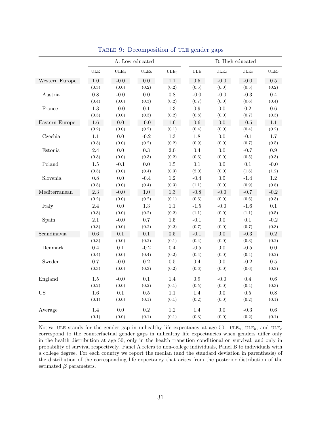<span id="page-32-0"></span>

|                |            |                   | A. Low educated  |                   |            |                   | B. High educated |                      |
|----------------|------------|-------------------|------------------|-------------------|------------|-------------------|------------------|----------------------|
|                | <b>ULE</b> | $_{\text{ULE}_a}$ | ULE <sub>b</sub> | $_{\text{ULE}_c}$ | <b>ULE</b> | $_{\text{ULE}_a}$ | ULE <sub>b</sub> | $_{\rm ULE_{\it c}}$ |
| Western Europe | 1.0        | $-0.0$            | 0.0              | 1.1               | 0.5        | $-0.0$            | $-0.0$           | 0.5                  |
|                | (0.3)      | (0.0)             | (0.2)            | (0.2)             | (0.5)      | (0.0)             | (0.5)            | (0.2)                |
| Austria        | 0.8        | $-0.0$            | $0.0\,$          | $0.8\,$           | $-0.0$     | $-0.0$            | $-0.3$           | 0.4                  |
|                | (0.4)      | (0.0)             | (0.3)            | (0.2)             | (0.7)      | (0.0)             | (0.6)            | (0.4)                |
| France         | 1.3        | $-0.0$            | 0.1              | 1.3               | 0.9        | 0.0               | 0.2              | $0.6\,$              |
|                | (0.3)      | (0.0)             | (0.3)            | (0.2)             | (0.8)      | (0.0)             | (0.7)            | (0.3)                |
| Eastern Europe | 1.6        | 0.0               | $-0.0$           | 1.6               | 0.6        | 0.0               | $-0.5$           | 1.1                  |
|                | (0.2)      | (0.0)             | (0.2)            | (0.1)             | (0.4)      | (0.0)             | (0.4)            | (0.2)                |
| Czechia        | 1.1        | 0.0               | $-0.2$           | 1.3               | 1.8        | 0.0               | $-0.1$           | 1.7                  |
|                | (0.3)      | (0.0)             | (0.2)            | (0.2)             | (0.9)      | (0.0)             | (0.7)            | (0.5)                |
| Estonia        | 2.4        | 0.0               | 0.3              | 2.0               | 0.4        | 0.0               | $-0.7$           | 0.9                  |
|                | (0.3)      | (0.0)             | (0.3)            | (0.2)             | (0.6)      | (0.0)             | (0.5)            | (0.3)                |
| Poland         | 1.5        | $-0.1$            | 0.0              | 1.5               | $0.1\,$    | 0.0               | 0.1              | $-0.0$               |
|                | (0.5)      | (0.0)             | (0.4)            | (0.3)             | (2.0)      | (0.0)             | (1.6)            | (1.2)                |
| Slovenia       | 0.8        | 0.0               | $-0.4$           | 1.2               | $-0.4$     | 0.0               | $-1.4$           | 1.2                  |
|                | (0.5)      | (0.0)             | (0.4)            | (0.3)             | (1.1)      | (0.0)             | (0.9)            | (0.8)                |
| Mediterranean  | 2.3        | $-0.0$            | 1.0              | $1.3\,$           | $-0.8$     | $-0.0$            | $-0.7$           | $-0.2$               |
|                | (0.2)      | (0.0)             | (0.2)            | (0.1)             | (0.6)      | (0.0)             | (0.6)            | (0.3)                |
| Italy          | 2.4        | 0.0               | 1.3              | 1.1               | $-1.5$     | $-0.0$            | $-1.6$           | 0.1                  |
|                | (0.3)      | (0.0)             | (0.2)            | (0.2)             | (1.1)      | (0.0)             | (1.1)            | (0.5)                |
| Spain          | 2.1        | $-0.0$            | 0.7              | $1.5\,$           | $-0.1$     | 0.0               | 0.1              | $-0.2$               |
|                | (0.3)      | (0.0)             | (0.2)            | (0.2)             | (0.7)      | (0.0)             | (0.7)            | (0.3)                |
| Scandinavia    | 0.6        | 0.1               | $0.1\,$          | 0.5               | $-0.1$     | 0.0               | $-0.3$           | $0.2\,$              |
|                | (0.3)      | (0.0)             | (0.2)            | (0.1)             | (0.4)      | (0.0)             | (0.3)            | (0.2)                |
| Denmark        | 0.4        | 0.1               | $-0.2$           | 0.4               | $-0.5$     | 0.0               | $-0.5$           | $0.0\,$              |
|                | (0.4)      | (0.0)             | (0.4)            | (0.2)             | (0.4)      | (0.0)             | (0.4)            | (0.2)                |
| Sweden         | 0.7        | $-0.0$            | $\rm 0.2$        | 0.5               | 0.4        | $0.0\,$           | $-0.2$           | $0.5\,$              |
|                | (0.3)      | (0.0)             | (0.3)            | (0.2)             | (0.6)      | (0.0)             | (0.6)            | (0.3)                |
| England        | 1.5        | $-0.0$            | 0.1              | 1.4               | 0.9        | $-0.0$            | 0.4              | $0.6\,$              |
|                | (0.2)      | (0.0)             | (0.2)            | (0.1)             | (0.5)      | (0.0)             | (0.4)            | (0.3)                |
| <b>US</b>      | 1.6        | 0.1               | $0.5\,$          | 1.1               | 1.4        | 0.0               | 0.5              | 0.8                  |
|                | (0.1)      | (0.0)             | (0.1)            | (0.1)             | (0.2)      | (0.0)             | (0.2)            | (0.1)                |
| Average        | 1.4        | 0.0               | 0.2              | 1.2               | 1.4        | 0.0               | $-0.3$           | 0.6                  |
|                | (0.1)      | (0.0)             | (0.1)            | (0.1)             | (0.3)      | (0.0)             | (0.2)            | (0.1)                |

TABLE 9: Decomposition of ULE gender gaps

Notes: ULE stands for the gender gap in unhealthy life expectancy at age 50. ULE<sub>a</sub>, ULE<sub>b</sub>, and ULE<sub>c</sub> correspond to the counterfactual gender gaps in unhealthy life expectancies when genders differ only in the health distribution at age 50, only in the health transition conditional on survival, and only in probability of survival respectively. Panel A refers to non-college individuals, Panel B to individuals with a college degree. For each country we report the median (and the standard deviation in parenthesis) of the distribution of the corresponding life expectancy that arises from the posterior distribution of the estimated  $\beta$  parameters.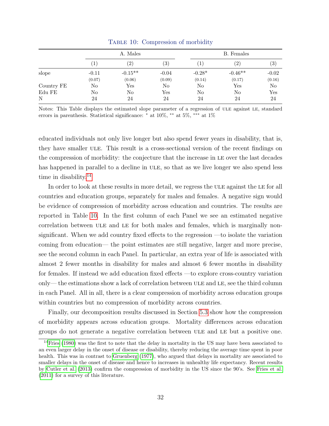<span id="page-33-1"></span>

|            |                  | A. Males          |                   |          | B. Females    |                   |
|------------|------------------|-------------------|-------------------|----------|---------------|-------------------|
|            | $\left(1\right)$ | $\left( 2\right)$ | $\left( 3\right)$ | T        | $^{\prime}2)$ | $\left( 3\right)$ |
| slope      | $-0.11$          | $-0.15**$         | $-0.04$           | $-0.28*$ | $-0.46**$     | $-0.02$           |
|            | (0.07)           | (0.06)            | (0.09)            | (0.14)   | (0.17)        | (0.16)            |
| Country FE | No               | $_{\rm Yes}$      | No                | No       | $_{\rm Yes}$  | N <sub>o</sub>    |
| Edu FE     | No               | No                | Yes               | No       | No            | Yes               |
| N          | 24               | 24                | 24                | 24       | 24            | 24                |

TABLE 10: Compression of morbidity

Notes: This Table displays the estimated slope parameter of a regression of ule against le, standard errors in parenthesis. Statistical significance: <sup>∗</sup> at 10%, ∗∗ at 5%, ∗∗∗ at 1%

educated individuals not only live longer but also spend fewer years in disability, that is, they have smaller ULE. This result is a cross-sectional version of the recent findings on the compression of morbidity: the conjecture that the increase in LE over the last decades has happened in parallel to a decline in ULE, so that as we live longer we also spend less time in disability.<sup>[14](#page-33-0)</sup>

In order to look at these results in more detail, we regress the ULE against the LE for all countries and education groups, separately for males and females. A negative sign would be evidence of compression of morbidity across education and countries. The results are reported in Table [10.](#page-33-1) In the first column of each Panel we see an estimated negative correlation between ule and le for both males and females, which is marginally nonsignificant. When we add country fixed effects to the regression —to isolate the variation coming from education— the point estimates are still negative, larger and more precise, see the second column in each Panel. In particular, an extra year of life is associated with almost 2 fewer months in disability for males and almost 6 fewer months in disability for females. If instead we add education fixed effects —to explore cross-country variation only— the estimations show a lack of correlation between ULE and LE, see the third column in each Panel. All in all, there is a clear compression of morbidity across education groups within countries but no compression of morbidity across countries.

Finally, our decomposition results discussed in Section [5.3](#page-21-2) show how the compression of morbidity appears across education groups. Mortality differences across education groups do not generate a negative correlation between ule and le but a positive one.

<span id="page-33-0"></span><sup>&</sup>lt;sup>14</sup>[Fries](#page-48-0) [\(1980\)](#page-48-0) was the first to note that the delay in mortality in the US may have been associated to an even larger delay in the onset of disease or disability, thereby reducing the average time spent in poor health. This was in contrast to [Gruenberg](#page-48-7) [\(1977\)](#page-48-7), who argued that delays in mortality are associated to smaller delays in the onset of disease and hence to increases in unhealthy life expectancy. Recent results by [Cutler et al.](#page-47-9) [\(2013\)](#page-47-9) confirm the compression of morbidity in the US since the 90's. See [Fries et al.](#page-48-8) [\(2011\)](#page-48-8) for a survey of this literature.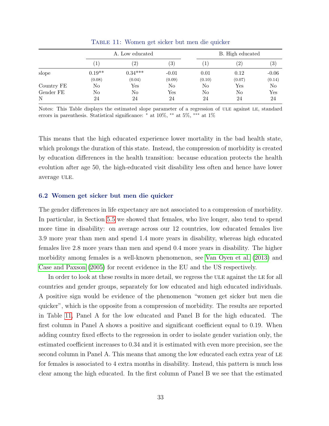<span id="page-34-0"></span>

|            |          | A. Low educated      |                   |        | B. High educated  |         |  |  |
|------------|----------|----------------------|-------------------|--------|-------------------|---------|--|--|
|            |          | $\left( 2\right)$    | $\left( 3\right)$ | 1      | $\left( 2\right)$ | (3)     |  |  |
| slope      | $0.19**$ | $0.34***$            | $-0.01$           | 0.01   | 0.12              | $-0.06$ |  |  |
|            | (0.08)   | (0.04)               | (0.09)            | (0.10) | (0.07)            | (0.14)  |  |  |
| Country FE | No       | $\operatorname{Yes}$ | No                | No     | $_{\rm Yes}$      | No      |  |  |
| Gender FE  | No       | No                   | Yes               | No     | No                | Yes     |  |  |
| N          | 24       | 24                   | 24                | 24     | 24                | 24      |  |  |

Table 11: Women get sicker but men die quicker

Notes: This Table displays the estimated slope parameter of a regression of ule against le, standard errors in parenthesis. Statistical significance: <sup>∗</sup> at 10%, ∗∗ at 5%, ∗∗∗ at 1%

This means that the high educated experience lower mortality in the bad health state, which prolongs the duration of this state. Instead, the compression of morbidity is created by education differences in the health transition: because education protects the health evolution after age 50, the high-educated visit disability less often and hence have lower average ULE.

#### 6.2 Women get sicker but men die quicker

The gender differences in life expectancy are not associated to a compression of morbidity. In particular, in Section [5.5](#page-26-0) we showed that females, who live longer, also tend to spend more time in disability: on average across our 12 countries, low educated females live 3.9 more year than men and spend 1.4 more years in disability, whereas high educated females live 2.8 more years than men and spend 0.4 more years in disability. The higher morbidity among females is a well-known phenomenon, see [Van Oyen et al. \(2013\)](#page-50-3) and [Case and Paxson \(2005\)](#page-47-10) for recent evidence in the EU and the US respectively.

In order to look at these results in more detail, we regress the ULE against the LE for all countries and gender groups, separately for low educated and high educated individuals. A positive sign would be evidence of the phenomenon "women get sicker but men die quicker", which is the opposite from a compression of morbidity. The results are reported in Table [11,](#page-34-0) Panel A for the low educated and Panel B for the high educated. The first column in Panel A shows a positive and significant coefficient equal to 0.19. When adding country fixed effects to the regression in order to isolate gender variation only, the estimated coefficient increases to 0.34 and it is estimated with even more precision, see the second column in Panel A. This means that among the low educated each extra year of LE for females is associated to 4 extra months in disability. Instead, this pattern is much less clear among the high educated. In the first column of Panel B we see that the estimated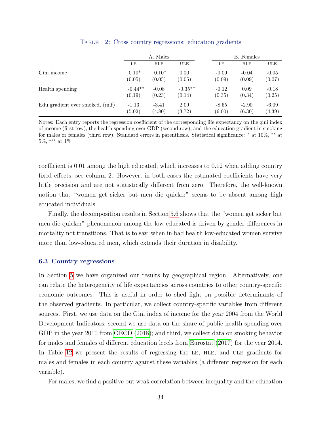<span id="page-35-0"></span>

|                                   | A. Males  |            |            |         | B. Females |         |
|-----------------------------------|-----------|------------|------------|---------|------------|---------|
|                                   | LE        | <b>HLE</b> | <b>ULE</b> | LE      | <b>HLE</b> | ULE     |
| Gini income                       | $0.10*$   | $0.10*$    | 0.00       | $-0.09$ | $-0.04$    | $-0.05$ |
|                                   | (0.05)    | (0.05)     | (0.05)     | (0.09)  | (0.09)     | (0.07)  |
| Health spending                   | $-0.44**$ | $-0.08$    | $-0.35**$  | $-0.12$ | 0.09       | $-0.18$ |
|                                   | (0.19)    | (0.23)     | (0.14)     | (0.35)  | (0.34)     | (0.25)  |
| Edu gradient ever smoked, $(m,f)$ | $-1.13$   | $-3.41$    | 2.09       | $-8.55$ | $-2.90$    | $-6.09$ |
|                                   | (5.02)    | (4.80)     | (3.72)     | (6.00)  | (6.30)     | (4.39)  |

Table 12: Cross country regressions: education gradients

Notes: Each entry reports the regression coefficient of the corresponding life expectancy on the gini index of income (first row), the health spending over GDP (second row), and the education gradient in smoking for males or females (third row). Standard errors in parenthesis. Statistical significance: <sup>∗</sup> at 10%, ∗∗ at  $5\%,$   $^{***}$  at  $1\%$ 

coefficient is 0.01 among the high educated, which increases to 0.12 when adding country fixed effects, see column 2. However, in both cases the estimated coefficients have very little precision and are not statistically different from zero. Therefore, the well-known notion that "women get sicker but men die quicker" seems to be absent among high educated individuals.

Finally, the decomposition results in Section [5.6](#page-27-1) shows that the "women get sicker but men die quicker" phenomenon among the low-educated is driven by gender differences in mortality not transitions. That is to say, when in bad health low-educated women survive more than low-educated men, which extends their duration in disability.

#### 6.3 Country regressions

In Section [5](#page-17-0) we have organized our results by geographical region. Alternatively, one can relate the heterogeneity of life expectancies across countries to other country-specific economic outcomes. This is useful in order to shed light on possible determinants of the observed gradients. In particular, we collect country-specific variables from different sources. First, we use data on the Gini index of income for the year 2004 from the World Development Indicators; second we use data on the share of public health spending over GDP in the year 2010 from [OECD \(2018\)](#page-49-9); and third, we collect data on smoking behavior for males and females of different education lecels from [Eurostat \(2017\)](#page-47-11) for the year 2014. In Table [12](#page-35-0) we present the results of regressing the LE, HLE, and ULE gradients for males and females in each country against these variables (a different regression for each variable).

For males, we find a positive but weak correlation between inequality and the education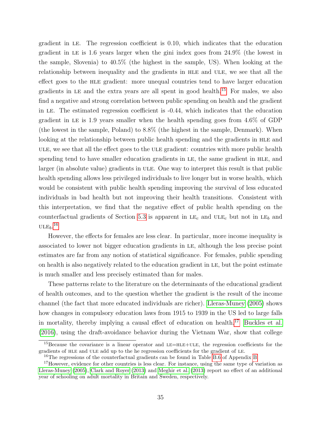gradient in le. The regression coefficient is 0.10, which indicates that the education gradient in le is 1.6 years larger when the gini index goes from 24.9% (the lowest in the sample, Slovenia) to 40.5% (the highest in the sample, US). When looking at the relationship between inequality and the gradients in HLE and ULE, we see that all the effect goes to the hle gradient: more unequal countries tend to have larger education gradients in LE and the extra years are all spent in good health.<sup>[15](#page-36-0)</sup> For males, we also find a negative and strong correlation between public spending on health and the gradient in le. The estimated regression coefficient is -0.44, which indicates that the education gradient in LE is 1.9 years smaller when the health spending goes from  $4.6\%$  of GDP (the lowest in the sample, Poland) to 8.8% (the highest in the sample, Denmark). When looking at the relationship between public health spending and the gradients in HLE and ule, we see that all the effect goes to the ule gradient: countries with more public health spending tend to have smaller education gradients in LE, the same gradient in HLE, and larger (in absolute value) gradients in ULE. One way to interpret this result is that public health spending allows less privileged individuals to live longer but in worse health, which would be consistent with public health spending improving the survival of less educated individuals in bad health but not improving their health transitions. Consistent with this interpretation, we find that the negative effect of public health spending on the counterfactual gradients of Section [5.3](#page-21-2) is apparent in  $LE<sub>c</sub>$  and  $ULE<sub>c</sub>$  but not in  $LE<sub>b</sub>$  and  $\mathrm{ULE}_b.^{16}$  $\mathrm{ULE}_b.^{16}$  $\mathrm{ULE}_b.^{16}$ 

However, the effects for females are less clear. In particular, more income inequality is associated to lower not bigger education gradients in le, although the less precise point estimates are far from any notion of statistical significance. For females, public spending on health is also negatively related to the education gradient in le, but the point estimate is much smaller and less precisely estimated than for males.

These patterns relate to the literature on the determinants of the educational gradient of health outcomes, and to the question whether the gradient is the result of the income channel (the fact that more educated individuals are richer). [Lleras-Muney \(2005\)](#page-48-9) shows how changes in compulsory education laws from 1915 to 1939 in the US led to large falls in mortality, thereby implying a causal effect of education on health.<sup>[17](#page-36-2)</sup> [Buckles et al.](#page-46-9) [\(2016\)](#page-46-9), using the draft-avoidance behavior during the Vietnam War, show that college

<span id="page-36-0"></span><sup>&</sup>lt;sup>15</sup>Because the covariance is a linear operator and LE=HLE+ULE, the regression coefficients for the gradients of hle and ule add up to the he regression coefficients for the gradient of le.

<span id="page-36-2"></span><span id="page-36-1"></span><sup>&</sup>lt;sup>16</sup>The regressions of the counterfactual gradients can be found in Table [B.6](#page-45-0) of Appendix [B.](#page-39-1)

<sup>&</sup>lt;sup>17</sup>However, evidence for other countries is less clear. For instance, using the same type of variation as [Lleras-Muney](#page-48-9) [\(2005\)](#page-48-9), [Clark and Royer](#page-47-12) [\(2013\)](#page-47-12) and [Meghir et al.](#page-49-10) [\(2013\)](#page-49-10) report no effect of an additional year of schooling on adult mortality in Britain and Sweden, respectively.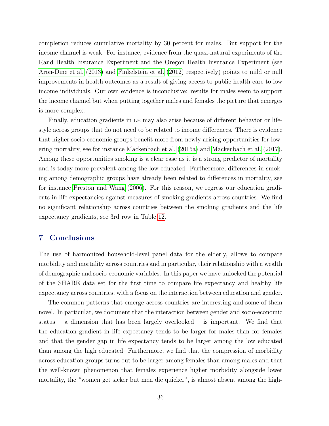completion reduces cumulative mortality by 30 percent for males. But support for the income channel is weak. For instance, evidence from the quasi-natural experiments of the Rand Health Insurance Experiment and the Oregon Health Insurance Experiment (see [Aron-Dine et al. \(2013\)](#page-46-10) and [Finkelstein et al. \(2012\)](#page-48-10) respectively) points to mild or null improvements in health outcomes as a result of giving access to public health care to low income individuals. Our own evidence is inconclusive: results for males seem to support the income channel but when putting together males and females the picture that emerges is more complex.

Finally, education gradients in le may also arise because of different behavior or lifestyle across groups that do not need to be related to income differences. There is evidence that higher socio-economic groups benefit more from newly arising opportunities for lowering mortality, see for instance [Mackenbach et al. \(2015a\)](#page-48-5) and [Mackenbach et al. \(2017\)](#page-49-11). Among these opportunities smoking is a clear case as it is a strong predictor of mortality and is today more prevalent among the low educated. Furthermore, differences in smoking among demographic groups have already been related to differences in mortality, see for instance [Preston and Wang \(2006\)](#page-49-12). For this reason, we regress our education gradients in life expectancies against measures of smoking gradients across countries. We find no significant relationship across countries between the smoking gradients and the life expectancy gradients, see 3rd row in Table [12.](#page-35-0)

#### <span id="page-37-0"></span>7 Conclusions

The use of harmonized household-level panel data for the elderly, allows to compare morbidity and mortality across countries and in particular, their relationship with a wealth of demographic and socio-economic variables. In this paper we have unlocked the potential of the SHARE data set for the first time to compare life expectancy and healthy life expectancy across countries, with a focus on the interaction between education and gender.

The common patterns that emerge across countries are interesting and some of them novel. In particular, we document that the interaction between gender and socio-economic status —a dimension that has been largely overlooked— is important. We find that the education gradient in life expectancy tends to be larger for males than for females and that the gender gap in life expectancy tends to be larger among the low educated than among the high educated. Furthermore, we find that the compression of morbidity across education groups turns out to be larger among females than among males and that the well-known phenomenon that females experience higher morbidity alongside lower mortality, the "women get sicker but men die quicker", is almost absent among the high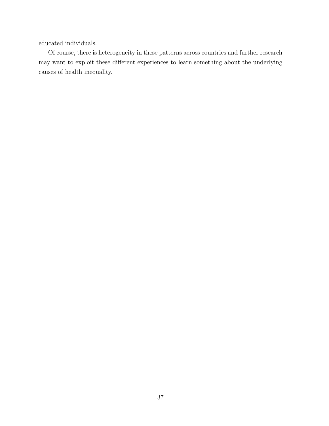educated individuals.

Of course, there is heterogeneity in these patterns across countries and further research may want to exploit these different experiences to learn something about the underlying causes of health inequality.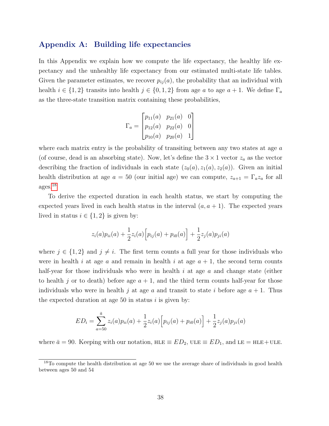#### <span id="page-39-0"></span>Appendix A: Building life expectancies

In this Appendix we explain how we compute the life expectancy, the healthy life expectancy and the unhealthy life expectancy from our estimated multi-state life tables. Given the parameter estimates, we recover  $p_{ij}(a)$ , the probability that an individual with health  $i \in \{1,2\}$  transits into health  $j \in \{0,1,2\}$  from age a to age  $a+1$ . We define  $\Gamma_a$ as the three-state transition matrix containing these probabilities,

$$
\Gamma_a = \begin{bmatrix} p_{11}(a) & p_{21}(a) & 0 \\ p_{12}(a) & p_{22}(a) & 0 \\ p_{10}(a) & p_{20}(a) & 1 \end{bmatrix}
$$

where each matrix entry is the probability of transiting between any two states at age  $a$ (of course, dead is an absorbing state). Now, let's define the  $3 \times 1$  vector  $z_a$  as the vector describing the fraction of individuals in each state  $(z_0(a), z_1(a), z_2(a))$ . Given an initial health distribution at age  $a = 50$  (our initial age) we can compute,  $z_{a+1} = \Gamma_a z_a$  for all ages.[18](#page-39-2)

To derive the expected duration in each health status, we start by computing the expected years lived in each health status in the interval  $(a, a + 1)$ . The expected years lived in status  $i \in \{1, 2\}$  is given by:

$$
z_i(a)p_{ii}(a) + \frac{1}{2}z_i(a)\Big[p_{ij}(a) + p_{i0}(a)\Big] + \frac{1}{2}z_j(a)p_{ji}(a)
$$

where  $j \in \{1,2\}$  and  $j \neq i$ . The first term counts a full year for those individuals who were in health i at age a and remain in health i at age  $a + 1$ , the second term counts half-year for those individuals who were in health  $i$  at age  $a$  and change state (either to health j or to death) before age  $a + 1$ , and the third term counts half-year for those individuals who were in health j at age a and transit to state i before age  $a + 1$ . Thus the expected duration at age 50 in status  $i$  is given by:

$$
ED_i = \sum_{a=50}^{\bar{a}} z_i(a) p_{ii}(a) + \frac{1}{2} z_i(a) \left[ p_{ij}(a) + p_{i0}(a) \right] + \frac{1}{2} z_j(a) p_{ji}(a)
$$

<span id="page-39-1"></span>where  $\bar{a} = 90$ . Keeping with our notation, HLE  $\equiv ED_2$ , ULE  $\equiv ED_1$ , and LE  $=$  HLE+ULE.

<span id="page-39-2"></span><sup>&</sup>lt;sup>18</sup>To compute the health distribution at age 50 we use the average share of individuals in good health between ages 50 and 54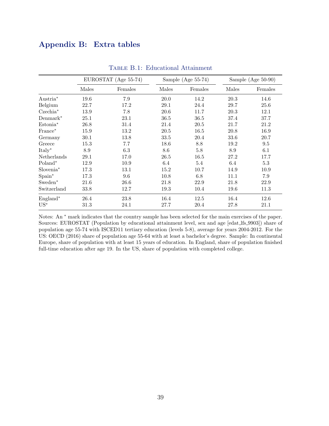#### Appendix B: Extra tables

<span id="page-40-0"></span>

|                       |       | EUROSTAT (Age 55-74) |       | Sample (Age $55-74$ ) |       | Sample (Age $50-90$ ) |
|-----------------------|-------|----------------------|-------|-----------------------|-------|-----------------------|
|                       | Males | Females              | Males | Females               | Males | Females               |
| Austria <sup>*</sup>  | 19.6  | 7.9                  | 20.0  | 14.2                  | 20.3  | 14.6                  |
| Belgium               | 22.7  | 17.2                 | 29.1  | 24.4                  | 29.7  | 25.6                  |
| $Czechia^*$           | 13.9  | 7.8                  | 20.6  | 11.7                  | 20.3  | 12.1                  |
| $Demmark^*$           | 25.1  | 23.1                 | 36.5  | 36.5                  | 37.4  | 37.7                  |
| Estonia*              | 26.8  | 31.4                 | 21.4  | 20.5                  | 21.7  | 21.2                  |
| France*               | 15.9  | 13.2                 | 20.5  | 16.5                  | 20.8  | 16.9                  |
| Germany               | 30.1  | 13.8                 | 33.5  | 20.4                  | 33.6  | 20.7                  |
| Greece                | 15.3  | 7.7                  | 18.6  | 8.8                   | 19.2  | 9.5                   |
| $Italy*$              | 8.9   | 6.3                  | 8.6   | $5.8\,$               | 8.9   | 6.1                   |
| Netherlands           | 29.1  | 17.0                 | 26.5  | 16.5                  | 27.2  | 17.7                  |
| Poland*               | 12.9  | 10.9                 | 6.4   | 5.4                   | 6.4   | 5.3                   |
| Slovenia <sup>*</sup> | 17.3  | 13.1                 | 15.2  | 10.7                  | 14.9  | 10.9                  |
| Spain*                | 17.3  | 9.6                  | 10.8  | 6.8                   | 11.1  | $7.9\,$               |
| Sweden*               | 21.6  | 26.6                 | 21.8  | 22.9                  | 21.8  | 22.9                  |
| Switzerland           | 33.8  | 12.7                 | 19.3  | 10.4                  | 19.6  | 11.3                  |
| $England^*$           | 26.4  | 23.8                 | 16.4  | 12.5                  | 16.4  | 12.6                  |
| $US^*$                | 31.3  | 24.1                 | 27.7  | 20.4                  | 27.8  | 21.1                  |

Table B.1: Educational Attainment

Notes: An <sup>∗</sup> mark indicates that the country sample has been selected for the main exercises of the paper. Sources: EUROSTAT (Population by educational attainment level, sex and age [edat lfs 9903]) share of population age 55-74 with ISCED11 tertiary education (levels 5-8), average for years 2004-2012. For the US: OECD (2016) share of population age 55-64 with at least a bachelor's degree. Sample: In continental Europe, share of population with at least 15 years of education. In England, share of population finished full-time education after age 19. In the US, share of population with completed college.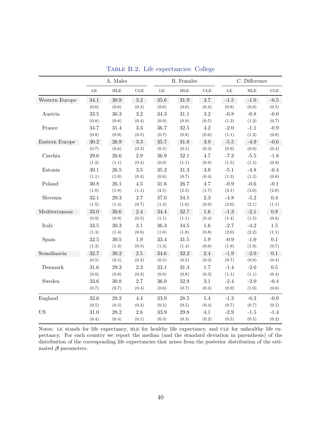<span id="page-41-0"></span>

|                |           | A. Males |              |          | <b>B.</b> Females |              |           | C. Difference |              |
|----------------|-----------|----------|--------------|----------|-------------------|--------------|-----------|---------------|--------------|
|                | $\rm{LE}$ | HLE      | $_{\rm ULE}$ | $\rm LE$ | ${\rm HLE}$       | $_{\rm ULE}$ | $\rm{LE}$ | ${\rm HLE}$   | $_{\rm ULE}$ |
| Western Europe | 34.1      | 30.9     | $\!3.2\!$    | 35.6     | 31.9              | $3.7\,$      | $-1.5$    | $-1.0$        | $-0.5$       |
|                | (0.6)     | (0.6)    | (0.3)        | (0.6)    | (0.6)             | (0.4)        | (0.8)     | (0.8)         | (0.5)        |
| Austria        | $33.5\,$  | 30.3     | $\!3.2\!$    | 34.3     | $31.1\,$          | $\!3.2\!$    | $-0.8$    | $-0.8$        | $-0.0$       |
|                | (0.8)     | (0.8)    | (0.4)        | (0.9)    | (0.9)             | (0.5)        | (1.2)     | (1.2)         | (0.7)        |
| France         | 34.7      | 31.4     | 3.3          | 36.7     | 32.5              | 4.2          | $-2.0$    | $-1.1$        | $-0.9$       |
|                | (0.8)     | (0.9)    | (0.5)        | (0.7)    | (0.8)             | (0.6)        | (1.1)     | (1.2)         | (0.8)        |
| Eastern Europe | $30.2\,$  | $26.9\,$ | $3.3\,$      | 35.7     | 31.8              | $3.9\,$      | $-5.5$    | $-4.9$        | $-0.6$       |
|                | (0.7)     | (0.6)    | (0.3)        | (0.5)    | (0.5)             | (0.3)        | (0.9)     | (0.8)         | (0.4)        |
| Czechia        | 29.6      | $26.6\,$ | $2.9\,$      | 36.9     | $32.1\,$          | 4.7          | $-7.3$    | $-5.5$        | $-1.8$       |
|                | (1.2)     | (1.1)    | (0.4)        | (0.9)    | (1.1)             | (0.8)        | (1.5)     | (1.5)         | (0.9)        |
| Estonia        | 30.1      | $26.5\,$ | $3.5\,$      | $35.2\,$ | 31.3              | $3.9\,$      | $-5.1$    | $-4.8$        | $-0.4$       |
|                | (1.1)     | (1.0)    | (0.4)        | (0.6)    | (0.7)             | (0.4)        | (1.3)     | (1.2)         | (0.6)        |
| Poland         | 30.8      | 26.1     | $4.5\,$      | 31.6     | 26.7              | 4.7          | $-0.9$    | $-0.6$        | $-0.1$       |
|                | (1.8)     | (1.8)    | (1.1)        | (2.5)    | (2.5)             | (1.7)        | (3.1)     | (3.0)         | (2.0)        |
| Slovenia       | 32.1      | 29.3     | 2.7          | 37.0     | 34.5              | $2.3\,$      | $-4.8$    | $-5.2$        | $0.4\,$      |
|                | (1.5)     | (1.4)    | (0.7)        | (1.4)    | (1.6)             | (0.9)        | (2.0)     | (2.1)         | (1.1)        |
| Mediterranean  | 33.0      | $30.6\,$ | $2.4\,$      | 34.4     | 32.7              | 1.6          | $-1.3$    | $-2.1$        | $0.8\,$      |
|                | (0.9)     | (0.9)    | (0.5)        | (1.1)    | (1.1)             | (0.4)        | (1.4)     | (1.5)         | (0.6)        |
| Italy          | 33.5      | 30.3     | 3.1          | 36.3     | $34.5\,$          | 1.6          | $-2.7$    | $-4.2$        | $1.5\,$      |
|                | (1.3)     | (1.4)    | (0.8)        | (1.6)    | (1.8)             | (0.8)        | (2.0)     | (2.2)         | (1.1)        |
| Spain          | 32.5      | 30.5     | 1.9          | 33.4     | 31.5              | 1.9          | $-0.9$    | $-1.0$        | 0.1          |
|                | (1.3)     | (1.3)    | (0.5)        | (1.3)    | (1.4)             | (0.6)        | (1.9)     | (1.9)         | (0.7)        |
| Scandinavia    | 32.7      | $30.2\,$ | $2.5\,$      | 34.6     | 32.2              | 2.4          | $-1.9$    | $-2.0$        | 0.1          |
|                | (0.5)     | (0.5)    | (0.3)        | (0.5)    | (0.5)             | (0.3)        | (0.7)     | (0.8)         | (0.4)        |
| Denmark        | 31.6      | $29.3\,$ | $2.3\,$      | $33.1\,$ | 31.3              | $1.7\,$      | $-1.4$    | $-2.0$        | $0.5\,$      |
|                | (0.8)     | (0.8)    | (0.3)        | (0.8)    | (0.8)             | (0.3)        | (1.1)     | (1.1)         | (0.4)        |
| Sweden         | 33.6      | 30.8     | 2.7          | 36.0     | 32.9              | $3.1\,$      | $-2.4$    | $-2.0$        | $-0.4$       |
|                | (0.7)     | (0.7)    | (0.4)        | (0.6)    | (0.7)             | (0.4)        | (0.9)     | (1.0)         | (0.6)        |
| England        | 32.6      | 28.2     | $4.4\,$      | 33.9     | $28.5\,$          | $5.4\,$      | $-1.3$    | $-0.3$        | $-0.9$       |
|                | (0.5)     | (0.5)    | (0.3)        | (0.5)    | (0.5)             | (0.4)        | (0.7)     | (0.7)         | (0.5)        |
| <b>US</b>      | 31.0      | 28.2     | 2.8          | 33.9     | 29.8              | 4.1          | $-2.9$    | $-1.5$        | $-1.4$       |
|                | (0.4)     | (0.4)    | (0.1)        | (0.3)    | (0.3)             | (0.2)        | (0.5)     | (0.5)         | (0.2)        |

Table B.2: Life expectancies: College

Notes: le stands for life expectancy, hle for healthy life expectancy, and ule for unhealthy life expectancy. For each country we report the median (and the standard deviation in parenthesis) of the distribution of the corresponding life expectancies that arises from the posterior distribution of the estimated  $\beta$  parameters.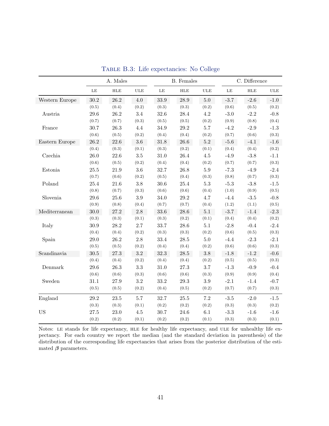<span id="page-42-0"></span>

|                |          | A. Males    |            |          | <b>B.</b> Females |            |        | C. Difference |            |
|----------------|----------|-------------|------------|----------|-------------------|------------|--------|---------------|------------|
|                | $\rm LE$ | ${\rm HLE}$ | <b>ULE</b> | LE       | ${\rm HLE}$       | <b>ULE</b> | LE     | ${\rm HLE}$   | <b>ULE</b> |
| Western Europe | $30.2\,$ | $26.2\,$    | $4.0\,$    | 33.9     | $28.9\,$          | 5.0        | $-3.7$ | $-2.6$        | $-1.0$     |
|                | (0.5)    | (0.4)       | (0.2)      | (0.3)    | (0.3)             | (0.2)      | (0.6)  | (0.5)         | (0.2)      |
| Austria        | 29.6     | 26.2        | $3.4\,$    | 32.6     | 28.4              | 4.2        | $-3.0$ | $-2.2$        | $-0.8$     |
|                | (0.7)    | (0.7)       | (0.3)      | (0.5)    | (0.5)             | (0.2)      | (0.9)  | (0.8)         | (0.4)      |
| France         | 30.7     | 26.3        | $4.4\,$    | 34.9     | $29.2\,$          | $5.7\,$    | $-4.2$ | $-2.9$        | $-1.3$     |
|                | (0.6)    | (0.5)       | (0.2)      | (0.4)    | (0.4)             | (0.2)      | (0.7)  | (0.6)         | (0.3)      |
| Eastern Europe | 26.2     | 22.6        | $3.6\,$    | 31.8     | 26.6              | $5.2\,$    | $-5.6$ | $-4.1$        | $-1.6$     |
|                | (0.4)    | (0.3)       | (0.1)      | (0.3)    | (0.2)             | (0.1)      | (0.4)  | (0.4)         | (0.2)      |
| Czechia        | 26.0     | 22.6        | 3.5        | $31.0\,$ | 26.4              | 4.5        | $-4.9$ | $-3.8$        | $-1.1$     |
|                | (0.6)    | (0.5)       | (0.2)      | (0.4)    | (0.4)             | (0.2)      | (0.7)  | (0.7)         | (0.3)      |
| Estonia        | $25.5\,$ | 21.9        | $3.6\,$    | 32.7     | 26.8              | $5.9\,$    | $-7.3$ | $-4.9$        | $-2.4$     |
|                | (0.7)    | (0.6)       | (0.2)      | (0.5)    | (0.4)             | (0.3)      | (0.8)  | (0.7)         | (0.3)      |
| Poland         | $25.4\,$ | 21.6        | $3.8\,$    | $30.6\,$ | $25.4\,$          | $5.3\,$    | $-5.3$ | $-3.8$        | $-1.5$     |
|                | (0.8)    | (0.7)       | (0.3)      | (0.6)    | (0.6)             | (0.4)      | (1.0)  | (0.9)         | (0.5)      |
| Slovenia       | 29.6     | $25.6\,$    | $3.9\,$    | 34.0     | $29.2\,$          | 4.7        | $-4.4$ | $-3.5$        | $-0.8$     |
|                | (0.9)    | (0.8)       | (0.4)      | (0.7)    | (0.7)             | (0.4)      | (1.2)  | (1.1)         | (0.5)      |
| Mediterranean  | 30.0     | $27.2\,$    | $2.8\,$    | 33.6     | $28.6\,$          | $5.1\,$    | $-3.7$ | $-1.4$        | $-2.3$     |
|                | (0.3)    | (0.3)       | (0.1)      | (0.3)    | (0.2)             | (0.1)      | (0.4)  | (0.4)         | (0.2)      |
| Italy          | 30.9     | 28.2        | 2.7        | 33.7     | 28.6              | $5.1\,$    | $-2.8$ | $-0.4$        | $-2.4$     |
|                | (0.4)    | (0.4)       | (0.2)      | (0.3)    | (0.3)             | (0.2)      | (0.6)  | (0.5)         | (0.3)      |
| Spain          | 29.0     | 26.2        | 2.8        | 33.4     | 28.5              | $5.0\,$    | $-4.4$ | $-2.3$        | $-2.1$     |
|                | (0.5)    | (0.5)       | (0.2)      | (0.4)    | (0.4)             | (0.2)      | (0.6)  | (0.6)         | (0.3)      |
| Scandinavia    | 30.5     | $27.3\,$    | $\!3.2\!$  | 32.3     | $28.5\,$          | $3.8\,$    | $-1.8$ | $-1.2$        | $-0.6$     |
|                | (0.4)    | (0.4)       | (0.2)      | (0.4)    | (0.4)             | (0.2)      | (0.5)  | (0.5)         | (0.3)      |
| Denmark        | 29.6     | 26.3        | $\!3.3$    | $31.0\,$ | 27.3              | 3.7        | $-1.3$ | $-0.9$        | $-0.4$     |
|                | (0.6)    | (0.6)       | (0.3)      | (0.6)    | (0.6)             | (0.3)      | (0.9)  | (0.9)         | (0.4)      |
| Sweden         | 31.1     | $27.9\,$    | 3.2        | 33.2     | 29.3              | 3.9        | $-2.1$ | $-1.4$        | $-0.7$     |
|                | (0.5)    | (0.5)       | (0.2)      | (0.4)    | (0.5)             | (0.2)      | (0.7)  | (0.7)         | (0.3)      |
| England        | 29.2     | 23.5        | 5.7        | 32.7     | 25.5              | $7.2\,$    | $-3.5$ | $-2.0$        | $-1.5$     |
|                | (0.3)    | (0.3)       | (0.1)      | (0.2)    | (0.2)             | (0.2)      | (0.3)  | (0.3)         | (0.2)      |
| <b>US</b>      | 27.5     | 23.0        | $4.5\,$    | 30.7     | 24.6              | 6.1        | $-3.3$ | $-1.6$        | $-1.6$     |
|                | (0.2)    | (0.2)       | (0.1)      | (0.2)    | (0.2)             | (0.1)      | (0.3)  | (0.3)         | (0.1)      |

Table B.3: Life expectancies: No College

Notes: le stands for life expectancy, hle for healthy life expectancy, and ule for unhealthy life expectancy. For each country we report the median (and the standard deviation in parenthesis) of the distribution of the corresponding life expectancies that arises from the posterior distribution of the estimated  $\beta$  parameters.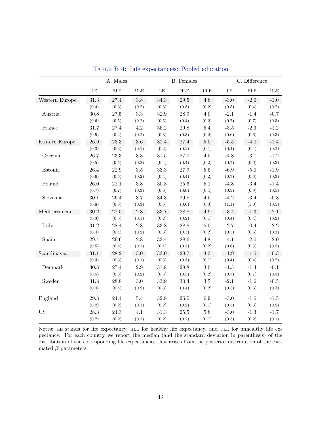<span id="page-43-0"></span>

|                |           | A. Males    |              |          | <b>B.</b> Females |              |           | C. Difference |              |
|----------------|-----------|-------------|--------------|----------|-------------------|--------------|-----------|---------------|--------------|
|                | $\rm{LE}$ | ${\rm HLE}$ | $_{\rm ULE}$ | $\rm LE$ | ${\rm HLE}$       | $_{\rm ULE}$ | $\rm{LE}$ | ${\rm HLE}$   | $_{\rm ULE}$ |
| Western Europe | $31.3\,$  | 27.4        | $3.8\,$      | 34.3     | $29.5\,$          | $4.8\,$      | $-3.0$    | $-2.0$        | $-1.0$       |
|                | (0.4)     | (0.3)       | (0.2)        | (0.3)    | (0.3)             | (0.2)        | (0.5)     | (0.4)         | (0.2)        |
| Austria        | 30.8      | $27.5\,$    | 3.3          | 32.9     | 28.9              | 4.0          | $-2.1$    | $-1.4$        | $-0.7$       |
|                | (0.6)     | (0.5)       | (0.2)        | (0.5)    | (0.4)             | (0.2)        | (0.7)     | (0.7)         | (0.3)        |
| France         | 31.7      | 27.4        | $4.2\,$      | $35.2\,$ | $29.8\,$          | $5.4\,$      | $-3.5$    | $-2.3$        | $-1.2$       |
|                | (0.5)     | (0.4)       | (0.2)        | (0.3)    | (0.3)             | (0.2)        | (0.6)     | (0.6)         | (0.3)        |
| Eastern Europe | 26.9      | 23.3        | $3.6\,$      | 32.4     | $27.4\,$          | $5.0\,$      | $-5.5$    | $-4.0$        | $-1.4$       |
|                | (0.3)     | (0.3)       | (0.1)        | (0.2)    | (0.2)             | (0.1)        | (0.4)     | (0.4)         | (0.2)        |
| Czechia        | 26.7      | 23.3        | 3.3          | $31.5\,$ | 27.0              | 4.5          | $-4.8$    | $-3.7$        | $-1.2$       |
|                | (0.5)     | (0.5)       | (0.2)        | (0.4)    | (0.4)             | (0.2)        | (0.7)     | (0.6)         | (0.3)        |
| Estonia        | 26.4      | 22.9        | $3.5\,$      | 33.3     | $27.9\,$          | $5.5\,$      | $-6.9$    | $-5.0$        | $-1.9$       |
|                | (0.6)     | (0.5)       | (0.2)        | (0.4)    | (0.4)             | (0.2)        | (0.7)     | (0.6)         | (0.3)        |
| Poland         | 26.0      | 22.1        | 3.8          | 30.8     | $25.6\,$          | $5.2\,$      | $-4.8$    | $-3.4$        | $-1.4$       |
|                | (0.7)     | (0.7)       | (0.3)        | (0.6)    | (0.6)             | (0.4)        | (0.9)     | (0.9)         | (0.5)        |
| Slovenia       | 30.1      | 26.4        | 3.7          | 34.3     | $29.8\,$          | $4.5\,$      | $-4.2$    | $-3.4$        | $-0.8$       |
|                | (0.8)     | (0.8)       | (0.3)        | (0.6)    | (0.6)             | (0.3)        | (1.1)     | (1.0)         | (0.5)        |
| Mediterranean  | $30.2\,$  | $27.5\,$    | $2.8\,$      | 33.7     | 28.8              | 4.9          | $-3.4$    | $-1.3$        | $-2.1$       |
|                | (0.3)     | (0.3)       | (0.1)        | (0.2)    | (0.2)             | (0.1)        | (0.4)     | (0.4)         | (0.2)        |
| Italy          | 31.2      | 28.4        | 2.8          | 33.8     | 28.8              | $5.0\,$      | $-2.7$    | $-0.4$        | $-2.2$       |
|                | (0.4)     | (0.4)       | (0.2)        | (0.3)    | (0.3)             | (0.2)        | (0.5)     | (0.5)         | (0.3)        |
| Spain          | 29.4      | 26.6        | 2.8          | 33.4     | 28.6              | 4.8          | $-4.1$    | $-2.0$        | $-2.0$       |
|                | (0.5)     | (0.4)       | (0.1)        | (0.4)    | (0.3)             | (0.2)        | (0.6)     | (0.5)         | (0.2)        |
| Scandinavia    | 31.1      | 28.2        | $3.0\,$      | 33.0     | 29.7              | $3.3\,$      | $-1.9$    | $-1.5$        | $-0.3$       |
|                | (0.3)     | (0.3)       | (0.1)        | (0.3)    | (0.3)             | (0.1)        | (0.4)     | (0.4)         | (0.2)        |
| Denmark        | 30.3      | 27.4        | 2.9          | 31.8     | 28.8              | $3.0\,$      | $-1.5$    | $-1.4$        | $-0.1$       |
|                | (0.5)     | (0.5)       | (0.2)        | (0.5)    | (0.5)             | (0.2)        | (0.7)     | (0.7)         | (0.3)        |
| Sweden         | 31.8      | 28.8        | $3.0\,$      | 33.9     | $30.4\,$          | 3.5          | $-2.1$    | $-1.6$        | $-0.5$       |
|                | (0.4)     | (0.4)       | (0.2)        | (0.3)    | (0.4)             | (0.2)        | (0.5)     | (0.6)         | (0.3)        |
| England        | 29.8      | 24.4        | $5.4\,$      | 32.8     | 26.0              | $6.9\,$      | $-3.0$    | $-1.6$        | $-1.5$       |
|                | (0.2)     | (0.2)       | (0.1)        | (0.2)    | (0.2)             | (0.1)        | (0.3)     | (0.3)         | (0.2)        |
| <b>US</b>      | 28.3      | 24.3        | 4.1          | $31.3\,$ | $25.5\,$          | $5.8\,$      | $-3.0$    | $-1.3$        | $-1.7$       |
|                | (0.2)     | (0.2)       | (0.1)        | (0.2)    | (0.2)             | (0.1)        | (0.3)     | (0.2)         | (0.1)        |

Table B.4: Life expectancies: Pooled education

Notes: le stands for life expectancy, hle for healthy life expectancy, and ule for unhealthy life expectancy. For each country we report the median (and the standard deviation in parenthesis) of the distribution of the corresponding life expectancies that arises from the posterior distribution of the estimated  $\beta$  parameters.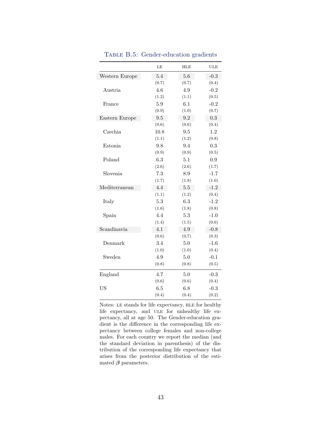<span id="page-44-0"></span>

|                | LE    | <b>HLE</b> | <b>ULE</b> |
|----------------|-------|------------|------------|
| Western Europe | 5.4   | 5.6        | $-0.3$     |
|                | (0.7) | (0.7)      | (0.4)      |
| Austria        | 4.6   | 4.9        | $-0.2$     |
|                | (1.2) | (1.1)      | (0.5)      |
| France         | 5.9   | 6.1        | $-0.2$     |
|                | (0.9) | (1.0)      | (0.7)      |
| Eastern Europe | 9.5   | 9.2        | 0.3        |
|                | (0.6) | (0.6)      | (0.4)      |
| Czechia        | 10.8  | 9.5        | 1.2        |
|                | (1.1) | (1.2)      | (0.8)      |
| Estonia        | 9.8   | 9.4        | 0.3        |
|                | (0.9) | (0.9)      | (0.5)      |
| Poland         | 6.3   | 5.1        | 0.9        |
|                | (2.6) | (2.6)      | (1.7)      |
| Slovenia       | 7.3   | 8.9        | $-1.7$     |
|                | (1.7) | (1.8)      | (1.0)      |
| Mediterranean  | 4.4   | 5.5        | $-1.2$     |
|                | (1.1) | (1.2)      | (0.4)      |
| Italy          | 5.3   | 6.3        | $-1.2$     |
|                | (1.6) | (1.8)      | (0.8)      |
| Spain          | 4.4   | 5.3        | $-1.0$     |
|                | (1.4) | (1.5)      | (0.6)      |
| Scandinavia    | 4.1   | 4.9        | $-0.8$     |
|                | (0.6) | (0.7)      | (0.3)      |
| Denmark        | 3.4   | 5.0        | $-1.6$     |
|                | (1.0) | (1.0)      | (0.4)      |
| Sweden         | 4.9   | 5.0        | $-0.1$     |
|                | (0.8) | (0.8)      | (0.5)      |
| England        | 4.7   | 5.0        | $-0.3$     |
|                | (0.6) | (0.6)      | (0.4)      |
| US             | 6.5   | 6.8        | $-0.3$     |
|                | (0.4) | (0.4)      | (0.2)      |

TABLE B.5: Gender-education gradients

Notes: le stands for life expectancy, hle for healthy life expectancy, and ULE for unhealthy life expectancy, all at age 50. The Gender-education gradient is the difference in the corresponding life expectancy between college females and non-college males. For each country we report the median (and the standard deviation in parenthesis) of the distribution of the corresponding life expectancy that arises from the posterior distribution of the estimated  $\beta$  parameters.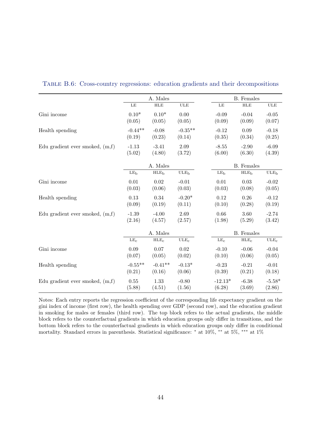|                                   | A. Males        |                  |                  |                 | <b>B.</b> Females |                  |  |  |
|-----------------------------------|-----------------|------------------|------------------|-----------------|-------------------|------------------|--|--|
|                                   | $\rm LE$        | ${\rm HLE}$      | <b>ULE</b>       | $\rm LE$        | <b>HLE</b>        | ULE              |  |  |
| Gini income                       | $0.10*$         | $0.10*$          | 0.00             | $-0.09$         | $-0.04$           | $-0.05$          |  |  |
|                                   | (0.05)          | (0.05)           | (0.05)           | (0.09)          | (0.09)            | (0.07)           |  |  |
| Health spending                   | $-0.44**$       | $-0.08$          | $-0.35**$        | $-0.12$         | 0.09              | $-0.18$          |  |  |
|                                   | (0.19)          | (0.23)           | (0.14)           | (0.35)          | (0.34)            | (0.25)           |  |  |
| Edu gradient ever smoked, $(m,f)$ | $-1.13$         | $-3.41$          | 2.09             | $-8.55$         | $-2.90$           | $-6.09$          |  |  |
|                                   | (5.02)          | (4.80)           | (3.72)           | (6.00)          | (6.30)            | (4.39)           |  |  |
|                                   |                 | A. Males         |                  |                 | <b>B.</b> Females |                  |  |  |
|                                   | LE <sub>b</sub> | HLE <sub>b</sub> | ULE <sub>b</sub> | LE <sub>b</sub> | HLE <sub>b</sub>  | ULE <sub>b</sub> |  |  |
| Gini income                       | $0.01\,$        | $0.02\,$         | $-0.01$          | $0.01\,$        | $0.03\,$          | $-0.02$          |  |  |
|                                   | (0.03)          | (0.06)           | (0.03)           | (0.03)          | (0.08)            | (0.05)           |  |  |
| Health spending                   | 0.13            | 0.34             | $-0.20*$         | 0.12            | 0.26              | $-0.12$          |  |  |
|                                   | (0.09)          | (0.19)           | (0.11)           | (0.10)          | (0.28)            | (0.19)           |  |  |
| Edu gradient ever smoked, $(m,f)$ | $-1.39$         | $-4.00$          | 2.69             | 0.66            | $3.60\,$          | $-2.74$          |  |  |
|                                   | (2.16)          | (4.57)           | (2.57)           | (1.98)          | (5.29)            | (3.42)           |  |  |
|                                   |                 | A. Males         |                  |                 | <b>B.</b> Females |                  |  |  |
|                                   | LE <sub>c</sub> | HLE <sub>c</sub> | $_{\rm ULE_{c}}$ | LE <sub>c</sub> | HLE <sub>c</sub>  | $_{\rm ULE_{c}}$ |  |  |
| Gini income                       | 0.09            | 0.07             | 0.02             | $-0.10$         | $-0.06$           | $-0.04$          |  |  |
|                                   | (0.07)          | (0.05)           | (0.02)           | (0.10)          | (0.06)            | (0.05)           |  |  |
| Health spending                   | $-0.55**$       | $-0.41**$        | $-0.13*$         | $-0.23$         | $-0.21$           | $-0.01$          |  |  |
|                                   | (0.21)          | (0.16)           | (0.06)           | (0.39)          | (0.21)            | (0.18)           |  |  |
| Edu gradient ever smoked, $(m,f)$ | $0.55\,$        | 1.33             | $-0.80$          | $-12.13*$       | $-6.38$           | $-5.58*$         |  |  |
|                                   | (5.88)          | (4.51)           | (1.56)           | (6.28)          | (3.69)            | (2.86)           |  |  |

#### <span id="page-45-0"></span>Table B.6: Cross-country regressions: education gradients and their decompositions

Notes: Each entry reports the regression coefficient of the corresponding life expectancy gradient on the gini index of income (first row), the health spending over GDP (second row), and the education gradient in smoking for males or females (third row). The top block refers to the actual gradients, the middle block refers to the counterfactual gradients in which education groups only differ in transitions, and the bottom block refers to the counterfactual gradients in which education groups only differ in conditional mortality. Standard errors in parenthesis. Statistical significance: <sup>∗</sup> at 10%, ∗∗ at 5%, ∗∗∗ at 1%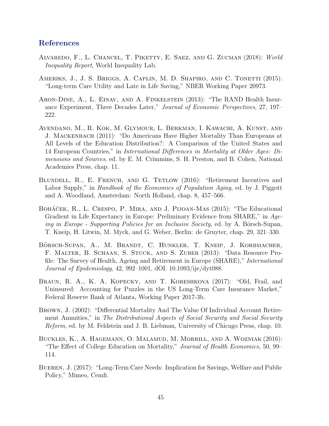#### References

- <span id="page-46-0"></span>Alvaredo, F., L. Chancel, T. Piketty, E. Saez, and G. Zucman (2018): World Inequality Report, World Inequality Lab.
- <span id="page-46-7"></span>AMERIKS, J., J. S. BRIGGS, A. CAPLIN, M. D. SHAPIRO, AND C. TONETTI (2015): "Long-term Care Utility and Late in Life Saving," NBER Working Paper 20973.
- <span id="page-46-10"></span>Aron-Dine, A., L. Einav, and A. Finkelstein (2013): "The RAND Health Insurance Experiment, Three Decades Later," Journal of Economic Perspectives, 27, 197– 222.
- <span id="page-46-4"></span>Avendano, M., R. Kok, M. Glymour, L. Berkman, I. Kawachi, A. Kunst, and J. Mackenbach (2011): "Do Americans Have Higher Mortality Than Europeans at All Levels of the Education Distribution?: A Comparison of the United States and 14 European Countries," in International Differences in Mortality at Older Ages: Dimensions and Sources, ed. by E. M. Crimmins, S. H. Preston, and B. Cohen, National Academies Press, chap. 11.
- <span id="page-46-2"></span>BLUNDELL, R., E. FRENCH, AND G. TETLOW (2016): "Retirement Incentives and Labor Supply," in *Handbook of the Economics of Population Aging*, ed. by J. Piggott and A. Woodland, Amsterdam: North Holland, chap. 8, 457–566.
- <span id="page-46-5"></span>BOHÁČEK, R., L. CRESPO, P. MIRA, AND J. PIJOAN-MAS (2015): "The Educational Gradient in Life Expectancy in Europe: Preliminary Evidence from SHARE," in Ageing in Europe - Supporting Policies for an Inclusive Society, ed. by A. Börsch-Supan, T. Kneip, H. Litwin, M. Myck, and G. Weber, Berlin: de Gruyter, chap. 29, 321–330.
- <span id="page-46-6"></span>BÖRSCH-SUPAN, A., M. BRANDT, C. HUNKLER, T. KNEIP, J. KORBMACHER, F. Malter, B. Schaan, S. Stuck, and S. Zuber (2013): "Data Resource Profile: The Survey of Health, Ageing and Retirement in Europe (SHARE)," International Journal of Epidemiology, 42, 992–1001, dOI: 10.1093/ije/dyt088.
- <span id="page-46-8"></span>BRAUN, R. A., K. A. KOPECKY, AND T. KORESHKOVA (2017): "Old, Frail, and Uninsured: Accounting for Puzzles in the US Long-Term Care Insurance Market," Federal Reserve Bank of Atlanta, Working Paper 2017-3b.
- <span id="page-46-1"></span>Brown, J. (2002): "Differential Mortality And The Value Of Individual Account Retirement Annuities," in The Distributional Aspects of Social Security and Social Security Reform, ed. by M. Feldstein and J. B. Liebman, University of Chicago Press, chap. 10.
- <span id="page-46-9"></span>Buckles, K., A. Hagemann, O. Malamud, M. Morrill, and A. Wozniak (2016): "The Effect of College Education on Mortality," Journal of Health Economics, 50, 99– 114.
- <span id="page-46-3"></span>Bueren, J. (2017): "Long-Term Care Needs: Implication for Savings, Welfare and Public Policy," Mimeo, Cemfi.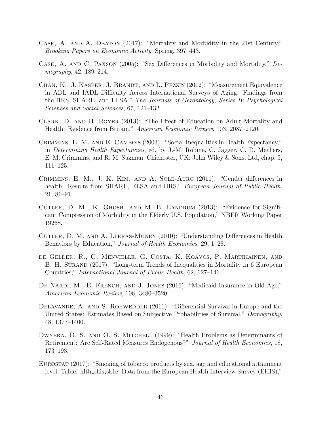- <span id="page-47-0"></span>Case, A. and A. Deaton (2017): "Mortality and Morbidity in the 21st Century," Brooking Papers on Economic Activity, Spring, 397–443.
- <span id="page-47-10"></span>Case, A. and C. Paxson (2005): "Sex Differences in Morbidity and Mortality," Demography, 42, 189–214.
- <span id="page-47-6"></span>Chan, K., J. Kasper, J. Brandt, and L. Pezzin (2012): "Measurement Equivalence in ADL and IADL Difficulty Across International Surveys of Aging: Findings from the HRS, SHARE, and ELSA," The Journals of Gerontology, Series B: Psychological Sciences and Social Sciences, 67, 121–132.
- <span id="page-47-12"></span>Clark, D. and H. Royer (2013): "The Effect of Education on Adult Mortality and Health: Evidence from Britain," American Economic Review, 103, 2087–2120.
- <span id="page-47-7"></span>Crimmins, E. M. and E. Cambois (2003): "Social Inequalities in Health Expectancy," in Determining Health Expectancies, ed. by J.-M. Robine, C. Jagger, C. D. Mathers, E. M. Crimmins, and R. M. Suzman, Chichester, UK: John Wiley & Sons, Ltd, chap. 5, 111–125.
- <span id="page-47-8"></span>Crimmins, E. M., J. K. Kim, and A. Sole-Auro (2011): "Gender differences in health: Results from SHARE, ELSA and HRS," European Journal of Public Health, 21, 81–91.
- <span id="page-47-9"></span>Cutler, D. M., K. Ghosh, and M. B. Landrum (2013): "Evidence for Significant Compression of Morbidity in the Elderly U.S. Population," NBER Working Paper 19268.
- <span id="page-47-4"></span>Cutler, D. M. and A. Lleras-Muney (2010): "Understanding Differences in Health Behaviors by Education," *Journal of Health Economics*, 29, 1–28.
- <span id="page-47-2"></span>de Gelder, R., G. Menvielle, G. Costa, K. Koavcs, P. Martikainen, and ´ B. H. STRAND (2017): "Long-term Trends of Inequalities in Mortality in 6 European Countries," International Journal of Public Health, 62, 127–141.
- <span id="page-47-1"></span>DE NARDI, M., E. FRENCH, AND J. JONES (2016): "Medicaid Insurance in Old Age," American Economic Review, 106, 3480–3520.
- <span id="page-47-3"></span>DELAVANDE, A. AND S. ROHWEDDER (2011): "Differential Survival in Europe and the United States: Estimates Based on Subjective Probabilities of Survival," Demography, 48, 1377–1400.
- <span id="page-47-5"></span>DWYERA, D. S. AND O. S. MITCHELL (1999): "Health Problems as Determinants of Retirement: Are Self-Rated Measures Endogenous?" Journal of Health Economics, 18, 173–193.
- <span id="page-47-11"></span>EUROSTAT (2017): "Smoking of tobacco products by sex, age and educational attainment level. Table: hlth ehis sk1e. Data from the European Health Interview Survey (EHIS),"

.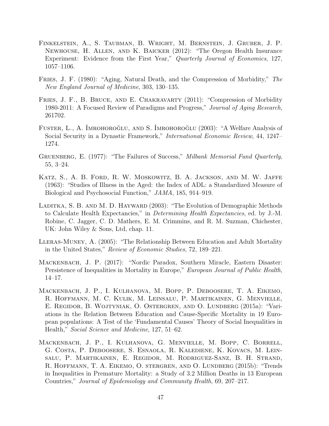- <span id="page-48-10"></span>Finkelstein, A., S. Taubman, B. Wright, M. Bernstein, J. Gruber, J. P. Newhouse, H. Allen, and K. Baicker (2012): "The Oregon Health Insurance Experiment: Evidence from the First Year," Quarterly Journal of Economics, 127, 1057–1106.
- <span id="page-48-0"></span>Fries, J. F. (1980): "Aging, Natural Death, and the Compression of Morbidity," The New England Journal of Medicine, 303, 130–135.
- <span id="page-48-8"></span>FRIES, J. F., B. BRUCE, AND E. CHAKRAVARTY (2011): "Compression of Morbidity 1980-2011: A Focused Review of Paradigms and Progress," Journal of Aging Research, 261702.
- <span id="page-48-2"></span>FUSTER, L., A. IMROHOROĞLU, AND S. IMROHOROĞLU (2003): "A Welfare Analysis of Social Security in a Dynastic Framework," International Economic Review, 44, 1247– 1274.
- <span id="page-48-7"></span>GRUENBERG, E. (1977): "The Failures of Success," Milbank Memorial Fund Quarterly, 55, 3–24.
- <span id="page-48-4"></span>KATZ, S., A. B. FORD, R. W. MOSKOWITZ, B. A. JACKSON, AND M. W. JAFFE (1963): "Studies of Illness in the Aged: the Index of ADL: a Standardized Measure of Biological and Psychosocial Function," JAMA, 185, 914–919.
- <span id="page-48-1"></span>LADITKA, S. B. AND M. D. HAYWARD (2003): "The Evolution of Demographic Methods to Calculate Health Expectancies," in Determining Health Expectancies, ed. by J.-M. Robine, C. Jagger, C. D. Mathers, E. M. Crimmins, and R. M. Suzman, Chichester, UK: John Wiley & Sons, Ltd, chap. 11.
- <span id="page-48-9"></span>Lleras-Muney, A. (2005): "The Relationship Between Education and Adult Mortality in the United States," Review of Economic Studies, 72, 189–221.
- <span id="page-48-6"></span>Mackenbach, J. P. (2017): "Nordic Paradox, Southern Miracle, Eastern Disaster: Persistence of Inequalities in Mortality in Europe," *European Journal of Public Health*, 14–17.
- <span id="page-48-5"></span>Mackenbach, J. P., I. Kulhanova, M. Bopp, P. Deboosere, T. A. Eikemo, R. Hoffmann, M. C. Kulik, M. Leinsalu, P. Martikainen, G. Menvielle, E. Regidor, B. Wojtyniak, O. Ostergren, and O. Lundberg (2015a): "Variations in the Relation Between Education and Cause-Specific Mortality in 19 European populations: A Test of the 'Fundamental Causes' Theory of Social Inequalities in Health," Social Science and Medicine, 127, 51–62.
- <span id="page-48-3"></span>Mackenbach, J. P., I. Kulhanova, G. Menvielle, M. Bopp, C. Borrell, G. Costa, P. Deboosere, S. Esnaola, R. Kalediene, K. Kovacs, M. Leinsalu, P. Martikainen, E. Regidor, M. Rodriguez-Sanz, B. H. Strand, R. HOFFMANN, T. A. EIKEMO, O. STERGREN, AND O. LUNDBERG (2015b): "Trends in Inequalities in Premature Mortality: a Study of 3.2 Million Deaths in 13 European Countries," Journal of Epidemiology and Community Health, 69, 207–217.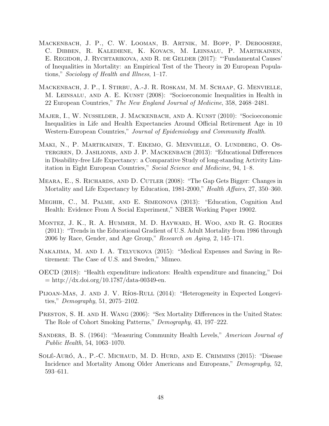- <span id="page-49-11"></span>Mackenbach, J. P., C. W. Looman, B. Artnik, M. Bopp, P. Deboosere, C. Dibben, R. Kalediene, K. Kovacs, M. Leinsalu, P. Martikainen, E. REGIDOR, J. RYCHTARIKOVA, AND R. DE GELDER (2017): "'Fundamental Causes' of Inequalities in Mortality: an Empirical Test of the Theory in 20 European Populations," Sociology of Health and Illness, 1–17.
- <span id="page-49-4"></span>Mackenbach, J. P., I. Stirbu, A.-J. R. Roskam, M. M. Schaap, G. Menvielle, M. Leinsalu, and A. E. Kunst (2008): "Socioeconomic Inequalities in Health in 22 European Countries," The New England Journal of Medicine, 358, 2468–2481.
- <span id="page-49-3"></span>Majer, I., W. Nusselder, J. Mackenbach, and A. Kunst (2010): "Socioeconomic Inequalities in Life and Health Expectancies Around Official Retirement Age in 10 Western-European Countries," Journal of Epidemiology and Community Health.
- <span id="page-49-5"></span>Maki, N., P. Martikainen, T. Eikemo, G. Menvielle, O. Lundberg, O. Ostergren, D. Jasilionis, and J. P. Mackenbach (2013): "Educational Differences in Disability-free Life Expectancy: a Comparative Study of long-standing Activity Limitation in Eight European Countries," Social Science and Medicine, 94, 1–8.
- <span id="page-49-1"></span>Meara, E., S. Richards, and D. Cutler (2008): "The Gap Gets Bigger: Changes in Mortality and Life Expectancy by Education, 1981-2000," Health Affairs, 27, 350–360.
- <span id="page-49-10"></span>Meghir, C., M. Palme, and E. Simeonova (2013): "Education, Cognition And Health: Evidence From A Social Experiment," NBER Working Paper 19002.
- <span id="page-49-6"></span>Montez, J. K., R. A. Hummer, M. D. Hayward, H. Woo, and R. G. Rogers (2011): "Trends in the Educational Gradient of U.S. Adult Mortality from 1986 through 2006 by Race, Gender, and Age Group," Research on Aging, 2, 145–171.
- <span id="page-49-7"></span>Nakajima, M. and I. A. Telyukova (2015): "Medical Expenses and Saving in Retirement: The Case of U.S. and Sweden," Mimeo.
- <span id="page-49-9"></span>OECD (2018): "Health expenditure indicators: Health expenditure and financing," Doi  $=$ http://dx.doi.org/10.1787/data-00349-en.
- <span id="page-49-2"></span>PIJOAN-MAS, J. AND J. V. RÍOS-RULL (2014): "Heterogeneity in Expected Longevities," Demography, 51, 2075–2102.
- <span id="page-49-12"></span>PRESTON, S. H. AND H. WANG (2006): "Sex Mortality Differences in the United States: The Role of Cohort Smoking Patterns," Demography, 43, 197–222.
- <span id="page-49-0"></span>Sanders, B. S. (1964): "Measuring Community Health Levels," American Journal of Public Health, 54, 1063–1070.
- <span id="page-49-8"></span>SOLÉ-AURÓ, A., P.-C. MICHAUD, M. D. HURD, AND E. CRIMMINS (2015): "Disease Incidence and Mortality Among Older Americans and Europeans," Demography, 52, 593–611.